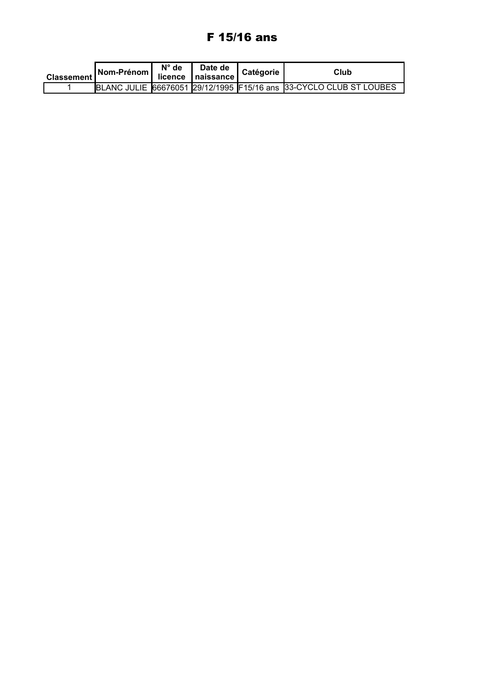# F 15/16 ans

| Classement Nom-Prénom licence naissance | $N^{\circ}$ de | Date de | Catégorie | Club                                                               |
|-----------------------------------------|----------------|---------|-----------|--------------------------------------------------------------------|
|                                         |                |         |           | BLANC JULIE 66676051 29/12/1995 F15/16 ans 33-CYCLO CLUB ST LOUBES |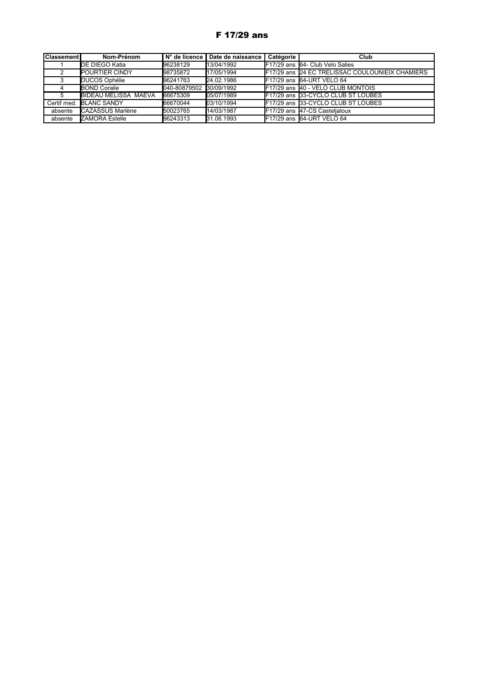## F 17/29 ans

| iClassementi | Nom-Prénom                  | N° de licence | Date de naissance | Catégorie | Club                                                   |
|--------------|-----------------------------|---------------|-------------------|-----------|--------------------------------------------------------|
|              | <b>DE DIEGO Katia</b>       | 96238129      | 13/04/1992        |           | F17/29 ans 64- Club Velo Salies                        |
|              | <b>POURTIER CINDY</b>       | 98735872      | 117/05/1994       |           | <b>F17/29 ans 24 EC TRELISSAC COULOUNIEIX CHAMIERS</b> |
|              | DUCOS Ophélie               | 96241763      | 24.02.1986        |           | IF17/29 ans I64-URT VELO 64                            |
|              | <b>BOND Coralie</b>         | 040-80879502  | 30/09/1992        |           | F17/29 ans 40 - VELO CLUB MONTOIS                      |
|              | <b>BIDEAU MELISSA MAEVA</b> | 66675309      | 05/07/1989        |           | F17/29 ans 33-CYCLO CLUB ST LOUBES                     |
| Certif med.  | <b>BLANC SANDY</b>          | 66670044      | 03/10/1994        |           | F17/29 ans 33-CYCLO CLUB ST LOUBES                     |
| absente      | <b>CAZASSUS Marlène</b>     | 50023765      | 14/03/1987        |           | F17/29 ans 47-CS Castelialoux                          |
| absente      | <b>ZAMORA Estelle</b>       | 96243313      | 31.08.1993        |           | F17/29 ans 64-URT VELO 64                              |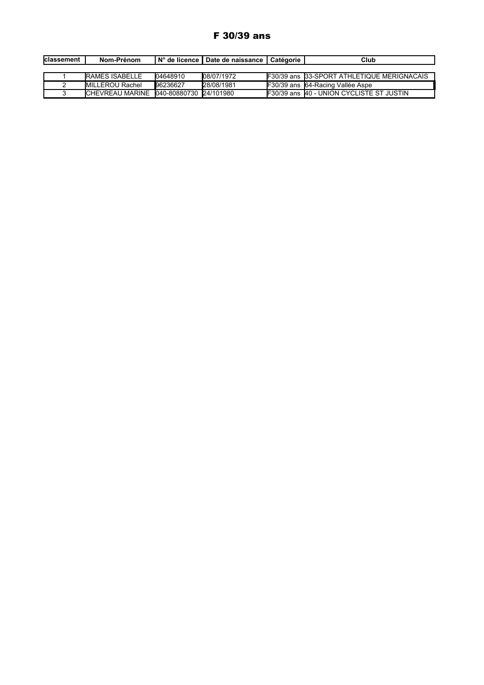## F 30/39 ans

| Iclassement | Nom-Prénom                             |          | IN° de licence   Date de naissance   Catégorie | Club                                                |
|-------------|----------------------------------------|----------|------------------------------------------------|-----------------------------------------------------|
|             |                                        |          |                                                |                                                     |
|             | <b>RAMES ISABELLE</b>                  | 04648910 | 08/07/1972                                     | <b>IF30/39 ans I33-SPORT ATHLETIQUE MERIGNACAIS</b> |
|             | MILLEROU Rachel                        | 96236627 | 28/08/1981                                     | <b>IF30/39 ans I64-Racing Vallée Aspe</b>           |
|             | CHEVREAU MARINE 040-80880730 24/101980 |          |                                                | <b>F30/39 ans 40 - UNION CYCLISTE ST JUSTIN</b>     |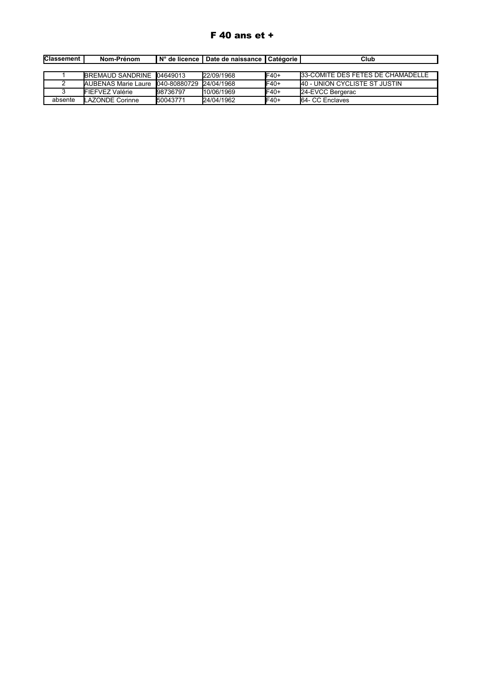# F 40 ans et +

| <b>Classement</b> | Nom-Prénom                                     |          | ∣ N° de licence I Date de naissance I Catéɑorie I |              | Club                                 |
|-------------------|------------------------------------------------|----------|---------------------------------------------------|--------------|--------------------------------------|
|                   |                                                |          |                                                   |              |                                      |
|                   | BREMAUD SANDRINE 104649013                     |          | 22/09/1968                                        | IF40+        | 133-COMITE DES FETES DE CHAMADELLE   |
|                   | IAUBENAS Marie Laure 1040-80880729 124/04/1968 |          |                                                   | <b>IF40+</b> | <b>40 - UNION CYCLISTE ST JUSTIN</b> |
|                   | <b>FIEFVEZ Valérie</b>                         | 98736797 | 110/06/1969                                       | IF40+        | 24-EVCC Bergerac                     |
| absente           | LAZONDE Corinne                                | 50043771 | <b>24/04/1962</b>                                 | <b>IF40+</b> | <b>I</b> 64- CC Enclaves             |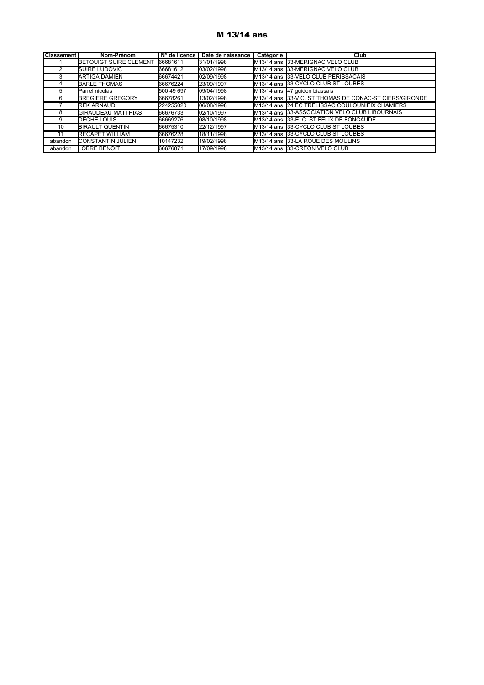### M 13/14 ans

| <b>Classement</b> | Nom-Prénom                    | N° de licence | Date de naissance | Catégorie | Club                                                   |
|-------------------|-------------------------------|---------------|-------------------|-----------|--------------------------------------------------------|
|                   | <b>BETOUIGT SUIRE CLEMENT</b> | 66681611      | 31/01/1998        |           | M13/14 ans 33-MERIGNAC VELO CLUB                       |
|                   | <b>SUIRE LUDOVIC</b>          | 66681612      | 03/02/1998        |           | IM13/14 ans I33-MERIGNAC VELO CLUB                     |
|                   | <b>ARTIGA DAMIEN</b>          | 66674421      | 02/09/1998        |           | M <sub>13</sub> /14 ans 33-VELO CLUB PERISSACAIS       |
| 4                 | <b>BARLE THOMAS</b>           | 66676224      | 23/09/1997        |           | M <sub>13</sub> /14 ans 33-CYCLO CLUB ST LOUBES        |
| 5                 | Parrel nicolas                | 500 49 697    | 09/04/1998        |           | M13/14 ans 47 quidon biassais                          |
| 6                 | <b>BREGIERE GREGORY</b>       | 66678261      | 13/02/1998        |           | M13/14 ans 33-V.C. ST THOMAS DE CONAC-ST CIERS/GIRONDE |
|                   | <b>REK ARNAUD</b>             | 224255020     | 06/08/1998        |           | M13/14 ans 24 EC TRELISSAC COULOUNIEIX CHAMIERS        |
| 8                 | <b>GIRAUDEAU MATTHIAS</b>     | 66676733      | 02/10/1997        |           | M13/14 ans 33-ASSOCIATION VELO CLUB LIBOURNAIS         |
| 9                 | DECHE LOUIS                   | 66669276      | 08/10/1998        |           | M13/14 ans 33-E. C. ST FELIX DE FONCAUDE               |
| 10                | <b>BIRAULT QUENTIN</b>        | 66675310      | 22/12/1997        |           | M <sub>13</sub> /14 ans 33-CYCLO CLUB ST LOUBES        |
| 11                | <b>RECAPET WILLIAM</b>        | 66676228      | 18/11/1998        |           | M13/14 ans 33-CYCLO CLUB ST LOUBES                     |
| abandon           | <b>CONSTANTIN JULIEN</b>      | 10147232      | 19/02/1998        |           | M13/14 ans 33-LA ROUE DES MOULINS                      |
| abandon           | LOBRE BENOIT                  | 66676871      | 17/09/1998        |           | M <sub>13</sub> /14 ans 33-CREON VELO CLUB             |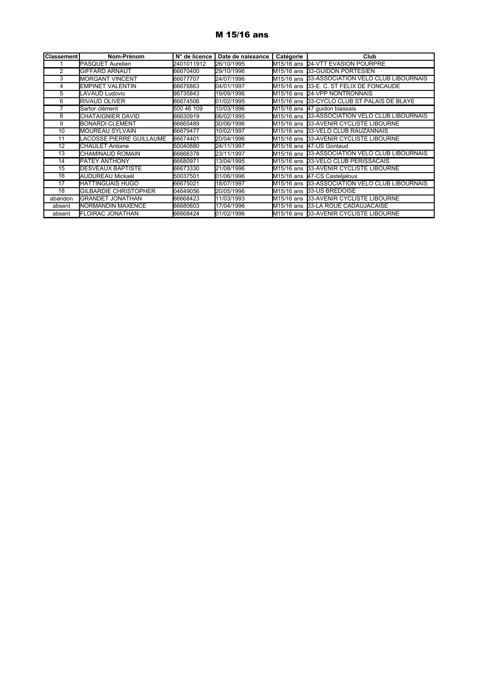#### M 15/16 ans

| <b>Classement</b> | Nom-Prénom                   | N° de licence | Date de naissance | Catégorie | Club                                           |
|-------------------|------------------------------|---------------|-------------------|-----------|------------------------------------------------|
|                   | PASQUET Aurelien             | 2401011912    | 26/10/1995        |           | M15/16 ans 24-VTT EVASION POURPRE              |
| 2                 | <b>GIFFARD ARNAUT</b>        | 66670400      | 29/10/1996        |           | M15/16 ans 33-GUIDON PORTESIEN                 |
| 3                 | <b>MORGANT VINCENT</b>       | 66677707      | 24/07/1996        |           | M15/16 ans 33-ASSOCIATION VELO CLUB LIBOURNAIS |
| 4                 | <b>EMPINET VALENTIN</b>      | 66676863      | 04/01/1997        |           | M15/16 ans 33-E. C. ST FELIX DE FONCAUDE       |
| 5                 | LAVAUD Ludovic               | 98735843      | 19/09/1996        |           | M15/16 ans 24-VPP NONTRONNAIS                  |
| 6                 | <b>RIVAUD OLIVER</b>         | 66674506      | 01/02/1995        |           | M15/16 ans 33-CYCLO CLUB ST PALAIS DE BLAYE    |
|                   | Sartor clément               | 500 46 109    | 10/03/1996        |           | M15/16 ans 47 guidon biassais                  |
| 8                 | CHATAIGNIER DAVID            | 66630919      | 06/02/1995        |           | M15/16 ans 33-ASSOCIATION VELO CLUB LIBOURNAIS |
| 9                 | <b>BONARDI CLEMENT</b>       | 66665489      | 30/06/1996        |           | M15/16 ans 33-AVENIR CYCLISTE LIBOURNE         |
| 10                | <b>MOUREAU SYLVAIN</b>       | 66679477      | 10/02/1997        |           | M15/16 ans 33-VELO CLUB RAUZANNAIS             |
| 11                | LACOSSE PIERRE GUILLAUME     | 66674401      | 20/04/1996        |           | M15/16 ans 33-AVENIR CYCLISTE LIBOURNE         |
| 12                | <b>CHAULET Antoine</b>       | 50040880      | 24/11/1997        |           | M15/16 ans 147-US Gontaud                      |
| 13                | <b>CHAMINAUD ROMAIN</b>      | 66666378      | 23/11/1997        |           | M15/16 ans 33-ASSOCIATION VELO CLUB LIBOURNAIS |
| 14                | <b>PATEY ANTHONY</b>         | 66680971      | 13/04/1995        |           | M15/16 ans 33-VELO CLUB PERISSACAIS            |
| 15                | <b>DESVEAUX BAPTISTE</b>     | 66673330      | 21/08/1996        |           | M15/16 ans 33-AVENIR CYCLISTE LIBOURNE         |
| 16                | AUDUREAU Mickaël             | 50037501      | 01/06/1996        |           | M15/16 ans 47-CS Castelialoux                  |
| $\overline{17}$   | <b>HATTINGUAIS HUGO</b>      | 66675021      | 18/07/1997        |           | M15/16 ans 33-ASSOCIATION VELO CLUB LIBOURNAIS |
| 18                | <b>GILBARDIE CHRISTOPHER</b> | 04649056      | 20/05/1996        |           | M15/16 ans 33-US BREDOISE                      |
| abandon           | <b>GRANDET JONATHAN</b>      | 66668423      | 11/03/1993        |           | M15/16 ans 33-AVENIR CYCLISTE LIBOURNE         |
| absent            | NORMANDIN MAXENCE            | 66680603      | 17/04/1996        |           | M15/16 ans 33-LA ROUE CADAUJACAISE             |
| absent            | <b>FLOIRAC JONATHAN</b>      | 66668424      | 01/02/1996        |           | M15/16 ans 33-AVENIR CYCLISTE LIBOURNE         |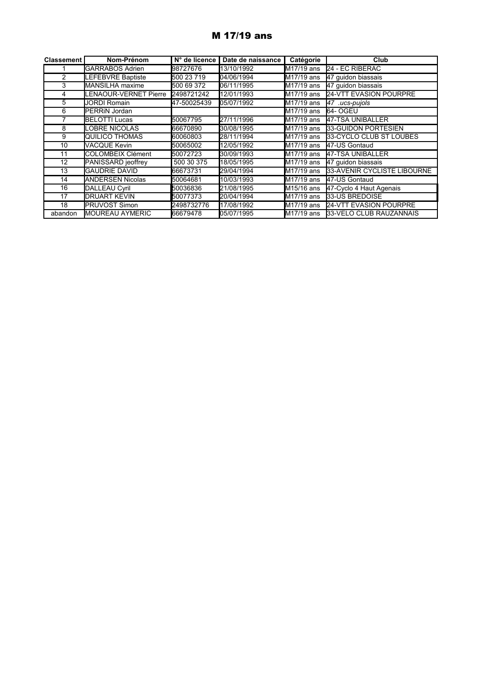# M 17/19 ans

| <b>Classement</b> | Nom-Prénom              | N° de licence | Date de naissance | Catégorie               | Club                          |
|-------------------|-------------------------|---------------|-------------------|-------------------------|-------------------------------|
|                   | <b>GARRABOS Adrien</b>  | 98727676      | 13/10/1992        | M17/19 ans              | 24 - EC RIBERAC               |
| $\overline{2}$    | LEFEBVRE Baptiste       | 500 23 719    | 04/06/1994        | M17/19 ans              | 47 guidon biassais            |
| 3                 | <b>MANSILHA</b> maxime  | 500 69 372    | 06/11/1995        | M17/19 ans              | 47 guidon biassais            |
|                   | ENAOUR-VERNET Pierre    | 2498721242    | 12/01/1993        | M17/19 ans              | <b>24-VTT EVASION POURPRE</b> |
| 5                 | JORDI Romain            | 47-50025439   | 05/07/1992        | M17/19 ans              | 47 .ucs-pujols                |
| 6                 | <b>PERRIN Jordan</b>    |               |                   | M17/19 ans              | 64- OGEU                      |
|                   | <b>BELOTTI Lucas</b>    | 50067795      | 27/11/1996        | M17/19 ans              | 47-TSA UNIBALLER              |
| 8                 | LOBRE NICOLAS           | 66670890      | 30/08/1995        | $M17/19$ ans            | 33-GUIDON PORTESIEN           |
| 9                 | QUILICO THOMAS          | 60060803      | 28/11/1994        | M17/19 ans              | 33-CYCLO CLUB ST LOUBES       |
| 10                | <b>VACQUE Kevin</b>     | 50065002      | 12/05/1992        | $M17/19$ ans            | 47-US Gontaud                 |
| 11                | COLOMBEIX Clément       | 50072723      | 30/09/1993        | $M17/19$ ans            | 47-TSA UNIBALLER              |
| 12                | PANISSARD jeoffrey      | 500 30 375    | 18/05/1995        | <b>I</b> M17/19 ans     | 47 quidon biassais            |
| 13                | <b>GAUDRIE DAVID</b>    | 66673731      | 29/04/1994        | M17/19 ans              | 33-AVENIR CYCLISTE LIBOURNE   |
| 14                | <b>ANDERSEN Nicolas</b> | 50064681      | 10/03/1993        | M17/19 ans              | 47-US Gontaud                 |
| 16                | <b>DALLEAU Cyril</b>    | 50036836      | 21/08/1995        | M <sub>15</sub> /16 ans | 47-Cyclo 4 Haut Agenais       |
| 17                | <b>DRUART KEVIN</b>     | 50077373      | 20/04/1994        | M17/19 ans              | 33-US BREDOISE                |
| 18                | PRUVOST Simon           | 2498732776    | 17/08/1992        | M17/19 ans              | 24-VTT EVASION POURPRE        |
| abandon           | <b>MOUREAU AYMERIC</b>  | 66679478      | 05/07/1995        | <b>I</b> M17/19 ans     | 33-VELO CLUB RAUZANNAIS       |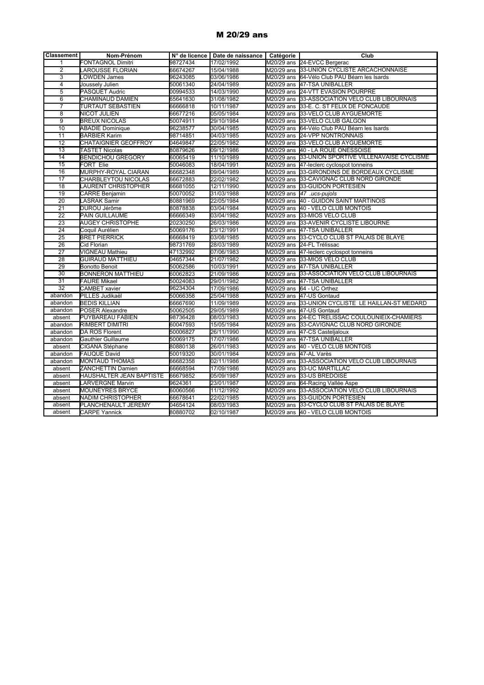#### M 20/29 ans

| <b>Classement</b> | Nom-Prénom                  |          | N° de licence   Date de naissance   Catégorie |                                   | Club                                              |
|-------------------|-----------------------------|----------|-----------------------------------------------|-----------------------------------|---------------------------------------------------|
| 1                 | <b>FONTAGNOL Dimitri</b>    | 98727434 | 17/02/1992                                    |                                   | M20/29 ans 24-EVCC Bergerac                       |
| $\overline{2}$    | <b>LAROUSSE FLORIAN</b>     | 66674267 | 15/04/1988                                    |                                   | M20/29 ans 33-UNION CYCLISTE ARCACHONNAISE        |
| $\overline{3}$    | <b>LOWDEN James</b>         | 96243085 | 03/06/1986                                    |                                   | M20/29 ans 64-Vélo Club PAU Béarn les Isards      |
| $\overline{4}$    | Joussely Julien             | 50061340 | 24/04/1989                                    |                                   | M20/29 ans 47-TSA UNIBALLER                       |
| $\overline{5}$    | PASQUET Audric              | 00994533 | 14/03/1990                                    |                                   | M20/29 ans 24-VTT EVASION POURPRE                 |
| 6                 | CHAMINAUD DAMIEN            | 65641630 | 31/08/1982                                    | M20/29 ans                        | 33-ASSOCIATION VELO CLUB LIBOURNAIS               |
| $\overline{7}$    | TURTAUT SEBASTIEN           | 66666818 | 10/11/1987                                    | M20/29 ans                        | 33-E. C. ST FELIX DE FONCAUDE                     |
| $\overline{8}$    | <b>NICOT JULIEN</b>         | 66677216 | 05/05/1984                                    | M20/29 ans                        | 33-VELO CLUB AYGUEMORTE                           |
| $\overline{9}$    | <b>BREUX NICOLAS</b>        | 50074911 | 29/10/1984                                    | M20/29 ans                        | 33-VELO CLUB GALGON                               |
| 10                | <b>ABADIE Dominique</b>     | 96238577 | 30/04/1985                                    | M20/29 ans                        | 64-Vélo Club PAU Béarn les Isards                 |
| 11                | <b>BARBIER Karim</b>        | 98714851 | 04/03/1985                                    | M20/29 ans                        | <b>24-VPP NONTRONNAIS</b>                         |
| 12                | <b>CHATAIGNIER GEOFFROY</b> | 04649847 | 22/05/1982                                    | M20/29 ans                        | 33-VELO CLUB AYGUEMORTE                           |
| 13                | TASTET Nicolas              | 80879626 | 09/12/1986                                    |                                   | M20/29 ans 40 - LA ROUE ONESSOISE                 |
| 14                | <b>BENDICHOU GREGORY</b>    | 60065419 | 11/10/1989                                    | $\overline{\mathrm{M}}$ 20/29 ans | 33-UNION SPORTIVE VILLENAVAISE CYCLISME           |
| 15                | <b>FORT Elie</b>            | 50046083 | 18/04/1991                                    | M20/29 ans                        | 47-leclerc cyclospot tonneins                     |
| 16                | MURPHY-ROYAL CIARAN         | 66682348 | 09/04/1989                                    |                                   | M20/29 ans 33-GIRONDINS DE BORDEAUX CYCLISME      |
| 17                | CHARBLEYTOU NICOLAS         | 66672883 | 22/02/1982                                    | M20/29 ans                        | 33-CAVIGNAC CLUB NORD GIRONDE                     |
| $\overline{18}$   | <b>LAURENT CHRISTOPHER</b>  | 66681055 | 12/11/1990                                    | M20/29 ans                        | 33-GUIDON PORTESIEN                               |
| $\overline{19}$   | <b>CARRE Benjamin</b>       | 50070052 | 31/03/1988                                    | M20/29 ans                        | 47 .ucs-pujols                                    |
| $\overline{20}$   | <b>LASRAK Samir</b>         | 80881969 | 22/05/1984                                    |                                   | M20/29 ans 40 - GUIDON SAINT MARTINOIS            |
| 21                | <b>DUROU Jérôme</b>         | 80878838 | 03/04/1984                                    |                                   | M20/29 ans 40 - VELO CLUB MONTOIS                 |
| 22                | PAIN GUILLAUME              | 66666349 | 03/04/1982                                    |                                   | M20/29 ans 33-MIOS VELO CLUB                      |
| 23                | <b>AUGEY CHRISTOPHE</b>     | 20230250 | 26/03/1986                                    |                                   | M20/29 ans 33-AVENIR CYCLISTE LIBOURNE            |
| $\overline{24}$   | Coquil Aurélien             | 50069176 | 23/12/1991                                    |                                   | M20/29 ans 47-TSA UNIBALLER                       |
| 25                | <b>BRET PIERRICK</b>        | 66668419 | 03/08/1985                                    |                                   | M20/29 ans 33-CYCLO CLUB ST PALAIS DE BLAYE       |
| 26                | Cid Florian                 | 98731769 | 28/03/1989                                    |                                   | M20/29 ans 24-FL Trélissac                        |
| $\overline{27}$   | VIGNEAU Mathieu             | 47132992 | 07/06/1983                                    |                                   | M20/29 ans 47-leclerc cyclospot tonneins          |
| 28                | <b>GUIRAUD MATTHIEU</b>     | 04657344 | 21/07/1982                                    |                                   | M20/29 ans 33-MIOS VELO CLUB                      |
| 29                | <b>Bonotto Benoit</b>       | 50062586 | 10/03/1991                                    |                                   | M20/29 ans 47-TSA UNIBALLER                       |
| 30                | <b>BONNERON MATTHIEU</b>    | 60062823 | 21/09/1986                                    |                                   | M20/29 ans 33-ASSOCIATION VELO CLUB LIBOURNAIS    |
| 31                | <b>FAURE Mikael</b>         | 50024083 | 29/01/1982                                    |                                   | M20/29 ans 47-TSA UNIBALLER                       |
| $\overline{32}$   | <b>CAMBET xavier</b>        | 96234304 | 17/09/1986                                    |                                   | M20/29 ans 64 - UC Orthez                         |
| abandon           | <b>PILLES</b> Judikaël      | 50066358 | 25/04/1988                                    |                                   | M20/29 ans 147-US Gontaud                         |
| abandon           | <b>BEDIS KILLIAN</b>        | 66667690 | 11/09/1989                                    |                                   | M20/29 ans 33-UNION CYCLISTE LE HAILLAN-ST MEDARD |
| abandon           | <b>POSER Alexandre</b>      | 50062505 | 29/05/1989                                    |                                   | M20/29 ans 47-US Gontaud                          |
| absent            | PUYBAREAU FABIEN            | 98736428 | 08/03/1983                                    |                                   | M20/29 ans 24-EC TRELISSAC COULOUNIEIX-CHAMIERS   |
| abandon           | RIMBERT DIMITRI             | 60047593 | 15/05/1984                                    |                                   | M20/29 ans 33-CAVIGNAC CLUB NORD GIRONDE          |
| abandon           | DA ROS Florent              | 50006827 | 26/11/1990                                    |                                   | M20/29 ans 47-CS Castelialoux                     |
| abandon           | <b>Gauthier Guillaume</b>   | 50069175 | 17/07/1986                                    |                                   | M20/29 ans 47-TSA UNIBALLER                       |
| absent            | CIGANA Stéphane             | 80880138 | 26/01/1983                                    |                                   | M20/29 ans 40 - VELO CLUB MONTOIS                 |
| abandon           | <b>FAUQUE David</b>         | 50019320 | 30/01/1984                                    |                                   | M20/29 ans 47-AL Varès                            |
| abandon           | <b>MONTAUD THOMAS</b>       | 66682358 | 02/11/1986                                    |                                   | M20/29 ans 33-ASSOCIATION VELO CLUB LIBOURNAIS    |
| absent            | ZANCHETTIN Damien           | 66668594 | 17/09/1986                                    |                                   | M20/29 ans 33-UC MARTILLAC                        |
| absent            | HAUSHALTER JEAN BAPTISTE    | 66679852 | 05/09/1987                                    |                                   | M20/29 ans 33-US BREDOISE                         |
| absent            | <b>LARVERGNE Marvin</b>     | 9624361  | 23/01/1987                                    |                                   | M20/29 ans 64-Racing Vallée Aspe                  |
| absent            | <b>MOUNEYRES BRYCE</b>      | 60060566 | 11/12/1992                                    |                                   | M20/29 ans 33-ASSOCIATION VELO CLUB LIBOURNAIS    |
| absent            | NADIM CHRISTOPHER           | 66678641 | 22/02/1985                                    |                                   | M20/29 ans 33-GUIDON PORTESIEN                    |
| absent            | PLANCHENAULT JEREMY         | 04654124 | 08/03/1983                                    |                                   | M20/29 ans 33-CYCLO CLUB ST PALAIS DE BLAYE       |
| absent            | <b>CARPE Yannick</b>        | 80880702 | 02/10/1987                                    |                                   | M20/29 ans 40 - VELO CLUB MONTOIS                 |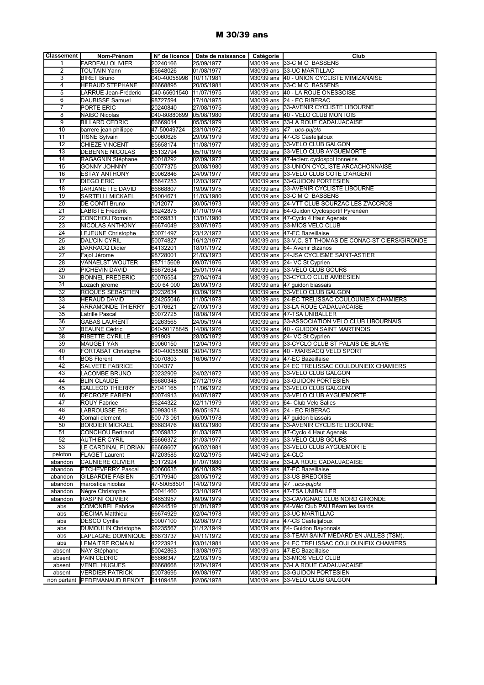#### M 30/39 ans

| <b>Classement</b>     | Nom-Prénom                             |                        | N° de licence   Date de naissance   Catégorie |                   | Club                                                                          |
|-----------------------|----------------------------------------|------------------------|-----------------------------------------------|-------------------|-------------------------------------------------------------------------------|
| 1                     | <b>FARDEAU OLIVIER</b>                 | 20240166               | 25/09/1977                                    |                   | M30/39 ans 33-C M O BASSENS                                                   |
| $\overline{2}$        | <b>TOUTAIN Yann</b>                    | 65648026               | 01/08/1977                                    |                   | M30/39 ans 33-UC MARTILLAC                                                    |
| 3                     | <b>BIRET Bruno</b>                     | 040-40058996           | 10/11/1981                                    |                   | M30/39 ans 40 - UNION CYCLISTE MIMIZANAISE                                    |
| $\overline{4}$        | <b>HERAUD STEPHANE</b>                 | 66668895               | 20/05/1981                                    |                   | M30/39 ans 33-C M O BASSENS                                                   |
| 5                     | LARRUE Jean-Fréderic                   | 040-65601540           | 11/07/1975                                    |                   | M30/39 ans 40 - LA ROUE ONESSOISE                                             |
| 6                     | DAUBISSE Samuel                        | 98727594               | 17/10/1975                                    |                   | M30/39 ans 24 - EC RIBERAC                                                    |
| $\overline{7}$        | PORTE ERIC                             | 20240840               | 27/08/1975                                    |                   | M30/39 ans 33-AVENIR CYCLISTE LIBOURNE                                        |
| 8                     | NAIBO Nicolas                          | 040-80880699           | 05/08/1980                                    |                   | M30/39 ans 40 - VELO CLUB MONTOIS                                             |
| 9                     | BILLARD CEDRIC                         | 66669014               | 05/05/1979                                    |                   | M30/39 ans 33-LA ROUE CADAUJACAISE                                            |
| $\overline{10}$       | barrere jean philippe                  | 47-50049724            | 23/10/1972                                    |                   | M30/39 ans 47 .ucs-pujols                                                     |
| 11                    | <b>TISNE Sylvain</b>                   | 50060626               | 29/09/1979                                    |                   | M30/39 ans 47-CS Casteljaloux                                                 |
| $\overline{12}$       | <b>CHIEZE VINCENT</b>                  | 65658174               | 11/08/1977                                    |                   | M30/39 ans 33-VELO CLUB GALGON                                                |
| $\overline{13}$       | <b>DEBENNE NICOLAS</b>                 | 65132794               | 05/10/1976                                    |                   | M30/39 ans 33-VELO CLUB AYGUEMORTE                                            |
| 14                    | RAGAGNIN Stéphane                      | 50018292               | 02/09/1972                                    |                   | M30/39 ans 47-leclerc cyclospot tonneins                                      |
| $\overline{15}$       | <b>GONNY JOHNNY</b>                    | 50077375               | 20/08/1980                                    |                   | M30/39 ans 33-UNION CYCLISTE ARCACHONNAISE                                    |
| 16                    | ESTAY ANTHONY                          | 60062846               | 24/09/1977                                    |                   | M30/39 ans 33-VELO CLUB COTE D'ARGENT                                         |
| 17                    | DIEGO ERIC                             | 65647253               | 12/03/1977                                    |                   | M30/39 ans 33-GUIDON PORTESIEN                                                |
| 18                    | JARJANETTE DAVID                       | 66668807               | 19/09/1975                                    |                   | M30/39 ans 33-AVENIR CYCLISTE LIBOURNE                                        |
| 19                    | SARTELLI MICKAEL                       | 54004671               | 11/03/1980                                    |                   | M30/39 ans 33-C M O BASSENS                                                   |
| $\overline{20}$       | DE CONTI Bruno                         | 1012077                | 30/05/1973                                    |                   | M30/39 ans 24-VTT CLUB SOURZAC LES Z'ACCROS                                   |
| $\overline{21}$       | <b>LABISTE Frédérik</b>                | 96242875               | 01/10/1974                                    |                   | M30/39 ans 64-Guidon Cyclosportif Pyrenéen                                    |
| 22                    | <b>CONCHOU Romain</b>                  | 50059831               | 13/01/1980                                    |                   | M30/39 ans 47-Cyclo 4 Haut Agenais                                            |
| 23                    | NICOLAS ANTHONY                        | 66674049               | 23/07/1975                                    |                   | M30/39 ans 33-MIOS VELO CLUB                                                  |
| $\overline{24}$       | LEJEUNE Christophe                     | 50071497               | 23/12/1972                                    |                   | M30/39 ans 47-EC Bazeillaise                                                  |
| 25                    | <b>DAL'CIN CYRIL</b>                   | 50074827               | 16/12/1977                                    |                   | M30/39 ans 33-V.C. ST THOMAS DE CONAC-ST CIERS/GIRONDE                        |
| 26<br>$\overline{27}$ | DARRACQ Didier                         | 64132201               | 18/01/1972                                    |                   | M30/39 ans 64- Avenir Bizanos                                                 |
|                       | Fajol Jérome<br><b>VANAELST WOUTER</b> | 98728001               | 21/03/1973                                    |                   | M30/39 ans 24-JSA CYCLISME SAINT-ASTIER<br>M30/39 ans 24- VC St Cyprien       |
| 28<br>29              |                                        | 987115609              | 09/07/1976<br>25/01/1974                      |                   | M30/39 ans 33-VELO CLUB GOURS                                                 |
| $\overline{30}$       | PICHEVIN DAVID                         | 66672634<br>50076554   | 27/04/1974                                    |                   | M30/39 ans 33-CYCLO CLUB AMBESIEN                                             |
| 31                    | <b>BONNEL FREDERIC</b>                 |                        | 26/09/1973                                    |                   |                                                                               |
| $\overline{32}$       | Lozach jérome<br>ROQUES SEBASTIEN      | 500 64 000<br>20232634 | 03/09/1975                                    |                   | M30/39 ans 47 guidon biassais<br>M30/39 ans 33-VELO CLUB GALGON               |
| 33                    | HERAUD DAVID                           | 224255046              | 11/05/1978                                    |                   | M30/39 ans 24-EC TRELISSAC COULOUNIEIX-CHAMIERS                               |
| 34                    | <b>ARRAMONDE THIERRY</b>               | 50176621               | 27/09/1973                                    |                   | M30/39 ans 33-LA ROUE CADAUJACAISE                                            |
| $\overline{35}$       |                                        |                        |                                               |                   |                                                                               |
| 36                    | atrille Pascal<br><b>GABAS LAURENT</b> | 50072725<br>20263565   | 18/08/1974<br>24/05/1974                      |                   | M30/39 ans 47-TSA UNIBALLER<br>M30/39 ans 33-ASSOCIATION VELO CLUB LIBOURNAIS |
| 37                    | <b>BEAUNE Cédric</b>                   | 040-50178845           | 14/08/1976                                    |                   | M30/39 ans 40 - GUIDON SAINT MARTINOIS                                        |
| 38                    | RIBETTE CYRILLE                        | 991909                 | 28/05/1972                                    |                   | M30/39 ans 24- VC St Cyprien                                                  |
| 39                    | MAUGET YAN                             | 60060150               | 12/04/1973                                    |                   | M30/39 ans 33-CYCLO CLUB ST PALAIS DE BLAYE                                   |
| 40                    | <b>FORTABAT Christophe</b>             | 040-40058508           | 30/04/1975                                    |                   | M30/39 ans 40 - MARSACQ VELO SPORT                                            |
| 41                    | <b>BOS Florent</b>                     | 50070803               | 16/06/1977                                    |                   | M30/39 ans 47-EC Bazeillaise                                                  |
| 42                    | SALVETE FABRICE                        | 1004377                |                                               |                   | M30/39 ans 24 EC TRELISSAC COULOUNIEIX CHAMIERS                               |
| 43                    | LACOMBE BRUNO                          | 20232909               | 24/02/1972                                    |                   | M30/39 ans 33-VELO CLUB GALGON                                                |
| 44                    | <b>BLIN CLAUDE</b>                     | 66680348               | 27/12/1978                                    |                   | M30/39 ans 33-GUIDON PORTESIEN                                                |
| 45                    | <b>GALLEGO THIERRY</b>                 | 57041165               | 11/06/1972                                    |                   | M30/39 ans 33-VELO CLUB GALGON                                                |
| 46                    | DECROZE FABIEN                         | 50074913               | 04/07/1977                                    |                   | M30/39 ans 33-VELO CLUB AYGUEMORTE                                            |
| 47                    | ROUY Fabrice                           | 96244322               | 02/11/1979                                    |                   | M30/39 ans 64- Club Velo Salies                                               |
| 48                    | LABROUSSE Eric                         | 00993018               | 09/051974                                     |                   | M30/39 ans 24 - EC RIBERAC                                                    |
| 49                    | Cornali clement                        | 500 73 061             | 05/09/1978                                    |                   | M30/39 ans 147 quidon biassais                                                |
| 50                    | <b>BORDIER MICKAEL</b>                 | 66683476               | 08/03/1980                                    |                   | M30/39 ans 33-AVENIR CYCLISTE LIBOURNE                                        |
| 51                    | CONCHOU Bertrand                       | 50059832               | 01/03/1978                                    |                   | M30/39 ans 47-Cyclo 4 Haut Agenais                                            |
| 52                    | <b>AUTHIER CYRIL</b>                   | 66666372               | 31/03/1977                                    |                   | M30/39 ans 33-VELO CLUB GOURS                                                 |
| 53                    | <b>LE CARDINAL FLORIAN</b>             | 66669607               | 06/02/1981                                    |                   | M30/39 ans 33-VELO CLUB AYGUEMORTE                                            |
| peloton               | FLAGET Laurent                         | 47203585               | 02/02/1975                                    | M40/49 ans 24-CLC |                                                                               |
| abandon               | CAUNIERE OLIVIER                       | 50172924               | 01/07/1980                                    |                   | M30/39 ans 33-LA ROUE CADAUJACAISE                                            |
| abandon               | <b>ETCHEVERRY Pascal</b>               | 50060635               | 06/10/1929                                    |                   | M30/39 ans 47-EC Bazeillaise                                                  |
| abandon               | <b>GILBARDIE FABIEN</b>                | 50179940               | 28/05/1972                                    | M30/39 ans        | 33-US BREDOISE                                                                |
| abandon               | marostica nicolas                      | 47-50058501            | 14/02/1979                                    |                   | M30/39 ans 47 .ucs-pujols                                                     |
| abandon               | Nègre Christophe                       | 50041460               | 23/10/1974                                    |                   | M30/39 ans 47-TSA UNIBALLER                                                   |
| abandon               | RASPINI OLIVIER                        | 04653957               | 09/09/1979                                    |                   | M30/39 ans 33-CAVIGNAC CLUB NORD GIRONDE                                      |
| abs                   | <b>COMONBEL Fabrice</b>                | 96244519               | 31/01/1972                                    |                   | M30/39 ans 64-Vélo Club PAU Béarn les Isards                                  |
| abs                   | <b>DECIMA Matthieu</b>                 | 66674929               | 02/04/1978                                    |                   | M30/39 ans 33-UC MARTILLAC                                                    |
| abs                   | <b>DESCO Cyrille</b>                   | 50007100               | 02/08/1973                                    |                   | M30/39 ans 47-CS Casteljaloux                                                 |
| abs                   | <b>DUMOULIN Christophe</b>             | 96235567               | 31/12/1949                                    |                   | M30/39 ans 64- Guidon Bayonnais                                               |
| abs                   | LAPLAGNE DOMINIQUE                     | 66673737               | 04/11/1972                                    |                   | M30/39 ans 33-TEAM SAINT MEDARD EN JALLES (TSM).                              |
| abs                   | <b>LEMAITRE ROMAIN</b>                 | 42223921               | 03/01/1981                                    |                   | M30/39 ans 24 EC TRELISSAC COULOUNIEIX CHAMIERS                               |
| absent                | NAY Stéphane                           | 50042863               | 13/08/1975                                    |                   | M30/39 ans 47-EC Bazeillaise                                                  |
| absent                | PAIN CEDRIC                            | 66666347               | 22/03/1975                                    |                   | M30/39 ans 33-MIOS VELO CLUB                                                  |
| absent                | <b>VENEL HUGUES</b>                    | 66668668               | 12/04/1974                                    |                   | M30/39 ans 33-LA ROUE CADAUJACAISE                                            |
| absent                | <b>VERDIER PATRICK</b>                 | 50073695               | 09/08/1977                                    |                   | M30/39 ans 33-GUIDON PORTESIEN                                                |
|                       | non partant PEDEMANAUD BENOIT          | 61109458               | 02/06/1978                                    |                   | M30/39 ans 33-VELO CLUB GALGON                                                |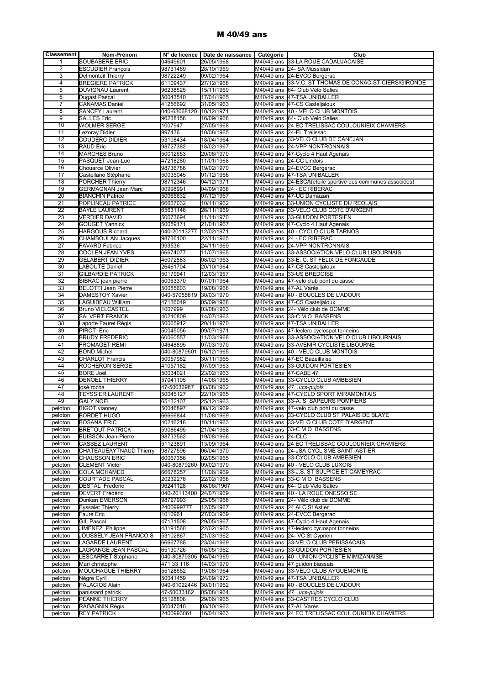#### M 40/49 ans

| Classement     | Nom-Prénom                 |                         | N° de licence   Date de naissance   Catégorie |                        | Club                                                        |
|----------------|----------------------------|-------------------------|-----------------------------------------------|------------------------|-------------------------------------------------------------|
| 1              | SOUBABERE ERIC             | 04649601                | 26/05/1968                                    |                        | M40/49 ans 33-LA ROUE CADAUJACAISE                          |
| $\overline{2}$ | <b>ESCUDIER François</b>   | 98731469                | 28/10/1969                                    |                        | M40/49 ans 24- SA Mussidan                                  |
| 3              | Delmonteil Thierry         | 98722249                | 09/02/1964                                    |                        | M40/49 ans 24-EVCC Bergerac                                 |
|                |                            |                         |                                               |                        |                                                             |
| 4              | <b>BREGIERE PATRICK</b>    | 61109437                | 27/12/1968                                    |                        | M40/49 ans 33-V.C. ST THOMAS DE CONAC-ST CIERS/GIRONDE      |
| 5              | DUVIGNAU Laurent           | 96238525                | 15/11/1969                                    |                        | M40/49 ans 64- Club Velo Salies                             |
| 6              | Dugast Pascal              | 50043540                | 17/04/1965                                    |                        | M40/49 ans 47-TSA UNIBALLER                                 |
| 7              | <b>CANAMAS Daniel</b>      | 41256692                | 31/05/1963                                    |                        | M40/49 ans 47-CS Castelialoux                               |
| 8              | <b>SANCEY Laurent</b>      | 040-63068120 10/12/1971 |                                               |                        | M40/49 ans 40 - VELO CLUB MONTOIS                           |
| 9              | SALLES Eric                | 96238158                | 16/09/1968                                    |                        | M40/49 ans 64- Club Velo Salies                             |
| 10             | WOLMER SERGE               | 1007947                 | 27/05/1968                                    |                        | M40/49 ans 24 EC TRELISSAC COULOUNIEIX CHAMIERS             |
| 11             | ezoray Didier              | 997436                  | 10/08/1965                                    |                        | M40/49 ans 24-FL Trélissac                                  |
| 12             | COUDERC DIDIER             | 53108434                | 18/04/1964                                    |                        | M40/49 ans 33-VELO CLUB DE CANEJAN                          |
| 13             | <b>RAUD Eric</b>           | 98727382                | 18/02/1967                                    |                        | M40/49 ans 24-VPP NONTRONNAIS                               |
| 14             | <b>MARCHES Bruno</b>       | 50012653                | 20/08/1970                                    |                        | M40/49 ans 47-Cyclo 4 Haut Agenais                          |
| 15             | PASQUET Jean-Luc           | 47218280                | 11/01/1968                                    |                        | M40/49 ans 24-CC Lindois                                    |
| 16             | Chouarce Olivier           | 98736786                | 19/02/1970                                    |                        | M40/49 ans 24-EVCC Bergerac                                 |
| 17             | Castellano Stéphane        | 50035045                | 01/12/1966                                    |                        | M40/49 ans 47-TSA UNIBALLER                                 |
| 18             | PORCHER Thierry            | 98712346                | 04/12/1971                                    |                        | M40/49 ans 24-ESCA (etoile sportive des communes associées) |
| 19             | <b>GERMAGNAN Jean Marc</b> | 00998991                | 04/09/1968                                    |                        | M40/49 ans 24 - EC RIBERAC                                  |
| 20             | <b>BIANCHIN Patrice</b>    | 50065632                | 07/12/1967                                    |                        | M40/49 ans 47-UC Damazan                                    |
| 21             | POPLINEAU PATRICE          | 66667032                | 10/11/1962                                    |                        | M40/49 ans 33-UNION CYCLISTE DU REOLAIS                     |
| 22             | <b>BAYLE LAURENT</b>       |                         | 26/11/1969                                    |                        | M40/49 ans 33-VELO CLUB COTE D'ARGENT                       |
| 23             | <b>VERDIER DAVID</b>       | 65631146<br>50073694    | 11/11/1970                                    |                        | M40/49 ans 33-GUIDON PORTESIEN                              |
| 24             |                            |                         |                                               |                        |                                                             |
|                | <b>GOUGET Yannick</b>      | 50059171                | 21/01/1967                                    |                        | M40/49 ans 47-Cyclo 4 Haut Agenais                          |
| 25             | <b>HARGOUS Richard</b>     | 040-20113277            | 12/02/1971                                    |                        | M40/49 ans 40 - CYCLO CLUB TARNOS                           |
| 26             | <b>CHAMBOULAN Jacques</b>  | 98736100                | 22/11/1965                                    |                        | M40/49 ans 24 - EC RIBERAC                                  |
| 27             | <b>FAVARD Fabrice</b>      | 993536                  | 24/11/1969                                    |                        | M40/49 ans 24-VPP NONTRONNAIS                               |
| 28             | COOLEN JEAN YVES           | 66674077                | 11/07/1965                                    |                        | M40/49 ans 33-ASSOCIATION VELO CLUB LIBOURNAIS              |
| 29             | <b>GELABERT DIDIER</b>     | 45072883                | 08/02/1963                                    |                        | M40/49 ans 33-E. C. ST FELIX DE FONCAUDE                    |
| 30             | LABOUTE Daniel             | 26461704                | 20/10/1964                                    |                        | M40/49 ans 47-CS Casteljaloux                               |
| 31             | GILBARDIE PATRICK          | 50179941                | 12/03/1967                                    |                        | M40/49 ans 33-US BREDOISE                                   |
| 32             | SIBRAC jean pierre         | 50063370                | 07/01/1964                                    |                        | M40/49 ans 47-velo club pont du casse                       |
| 33             | <b>BELOTTI Jean Pierre</b> | 50055603                | 19/08/1968                                    | M40/49 ans 47-AL Varès |                                                             |
| 34             | DAMESTOY Xavier            | 040-57055819            | 30/03/1970                                    |                        | M40/49 ans 40 - BOUCLES DE L'ADOUR                          |
| 35             | LAGUIBEAU William          | 47136049                | 05/09/1968                                    |                        | M40/49 ans 47-CS Casteljaloux                               |
| 36             | <b>Bruno VIELCASTEL</b>    | 1007999                 | 03/08/1963                                    |                        | M40/49 ans 24- Vélo club de DOMME                           |
| 37             | SALVERT FRANCK             | 40210809                | 14/07/1963                                    |                        | M40/49 ans 33-C M O BASSENS                                 |
| 38             | aporte Fauret Régis        | 50065912                | 20/11/1970                                    |                        | M40/49 ans 47-TSA UNIBALLER                                 |
| 39             | PIROT Eric                 | 50045056                | 09/07/1971                                    |                        | M40/49 ans 47-leclerc cyclospot tonneins                    |
| 40             | <b>BRUDY FREDERIC</b>      | 60060557                | 11/03/1968                                    |                        | M40/49 ans 33-ASSOCIATION VELO CLUB LIBOURNAIS              |
| 41             | FROMAGET REMI              | 04648895                | 07/03/1970                                    |                        | M40/49 ans 33-AVENIR CYCLISTE LIBOURNE                      |
| 42             | <b>BOND Michel</b>         | 040-80879501            | 16/12/1965                                    |                        | M40/49 ans 40 - VELO CLUB MONTOIS                           |
| 43             | <b>CHARLOT Francis</b>     | 50057982                | 30/11/1965                                    |                        | M40/49 ans 47-EC Bazeillaise                                |
| 44             | ROCHERON SERGE             | 41057182                | 07/09/1963                                    |                        | M40/49 ans 33-GUIDON PORTESIEN                              |
| 45             | <b>BORE Joël</b>           | 50034021                | 23/02/1963                                    | M40/49 ans 47-CABE 47  |                                                             |
| 46             | <b>DENOEL THIERRY</b>      | 57041105                | 14/06/1965                                    |                        | M40/49 ans 33-CYCLO CLUB AMBESIEN                           |
| 47             | josé rocha                 | 47-50036987             | 03/08/1962                                    |                        | M40/49 ans  47 .ucs-pujols                                  |
| 48             | <b>TEYSSIER LAURENT</b>    | 50045127                | 22/10/1965                                    |                        | M40/49 ans 47-CYCLO SPORT MIRAMONTAIS                       |
| 49             | <b>GALY NOEL</b>           | 65132107                | 25/12/1963                                    |                        | M40/49 ans 33-A. S. SAPEURS POMPIERS                        |
| peloton        | <b>BIGOT</b> vianney       | 50046897                | 08/12/1969                                    |                        | M40/49 ans 47-velo club pont du casse                       |
|                |                            |                         |                                               |                        |                                                             |
| peloton        | <b>BORDET HUGO</b>         | 66666844                | 11/08/1969                                    |                        | M40/49 ans 33-CYCLO CLUB ST PALAIS DE BLAYE                 |
| peloton        | <b>BOSANA ERIC</b>         | 40216218                | 10/11/1963                                    |                        | M40/49 ans 33-VELO CLUB COTE D'ARGENT                       |
| peloton        | <b>BRETOUT PATRICK</b>     | 59086495                | 21/04/1968                                    |                        | M40/49 ans 33-C M O BASSENS                                 |
| peloton        | <b>BUISSON Jean-Pierre</b> | 98733562                | 19/08/1966                                    | M40/49 ans 24-CLC      |                                                             |
| peloton        | <b>CASSEZ LAURENT</b>      | 51123891                | 13/09/1964                                    |                        | M40/49 ans 24 EC TRELISSAC COULOUNIEIX CHAMIERS             |
| peloton        | CHATEAUEAYTNAUD Thierry    | 98727596                | 06/04/1970                                    |                        | M40/49 ans 24-JSA CYCLISME SAINT-ASTIER                     |
| peloton        | <b>CHAUSSON ERIC</b>       | 60067356                | 02/05/1965                                    |                        | M40/49 ans 33-CYCLO CLUB AMBESIEN                           |
| peloton        | <b>CLEMENT Victor</b>      | 040-80879260            | 09/02/1970                                    |                        | M40/49 ans 40 - VELO CLUB LUXOIS                            |
| peloton        | COLA MOHAMED               | 66678257                | 11/06/1969                                    |                        | M40/49 ans 33-J.S. ST SULPICE ET CAMEYRAC                   |
| peloton        | COURTADE PASCAL            | 20232276                | 22/02/1968                                    |                        | M40/49 ans 33-C M O BASSENS                                 |
| peloton        | <b>DESTAL Frederic</b>     | 96241128                | 08/06//1967                                   |                        | M40/49 ans 64- Club Velo Salies                             |
| peloton        | <b>DEVERT Frédéric</b>     | 040-20113400            | 24/07/1969                                    |                        | M40/49 ans 40 - LA ROUE ONESSOISE                           |
| peloton        | Dunkan EMERSON             | 98727993                | 25/05/1968                                    |                        | M40/49 ans 24- Vélo club de DOMME                           |
| peloton        | <b>Eyssalet Thierry</b>    | 2400999777              | 12/05/1967                                    |                        | M40/49 ans 24 ALC St Astier                                 |
| peloton        | Faure Eric                 | 1010961                 | 27/03/1969                                    |                        | M40/49 ans 24-EVCC Bergerac                                 |
| peloton        | GIL Pascal                 | 47131508                | 29/05/1967                                    |                        | M40/49 ans 47-Cyclo 4 Haut Agenais                          |
| peloton        | JIMENEZ Philippe           | 43191560                | 22/02/1965                                    |                        | M40/49 ans 47-leclerc cyclospot tonneins                    |
| peloton        | JOUSSELY JEAN FRANCOIS     | 53102867                | 21/03/1962                                    |                        | M40/49 ans 24- VC St Cyprien                                |
| peloton        | LAGARDE LAURENT            | 66667788                | 23/04/1969                                    |                        | M40/49 ans 33-VELO CLUB PERISSACAIS                         |
| peloton        | LAGRANGE JEAN PASCAL       | 65130726                | 16/05/1962                                    |                        | M40/49 ans 33-GUIDON PORTESIEN                              |
| peloton        | <b>ESCARRET Stéphane</b>   | 040-80879305            | 04/04/1969                                    |                        | M40/49 ans 40 - UNION CYCLISTE MIMIZANAISE                  |
| peloton        | Mari christophe            | 471 33 116              | 14/03/1970                                    |                        | M40/49 ans 47 guidon biassais                               |
| peloton        | <b>MOUCHAGUE THIERRY</b>   | 55128652                | 19/08/1964                                    |                        | M40/49 ans 33-VELO CLUB AYGUEMORTE                          |
| peloton        | Nègre Cyril                | 50041459                | 24/09/1972                                    |                        | M40/49 ans 47-TSA UNIBALLER                                 |
| peloton        | PALACIOS Alain             | 040-61022446            | 30/01/1962                                    |                        | M40/49 ans 40 - BOUCLES DE L'ADOUR                          |
| peloton        | panissard patrick          | 47-50033162             | 05/08/1964                                    |                        | M40/49 ans $ 47 \tcdot ucs$ -pujols                         |
| peloton        | PEANNE THIERRY             | 55128808                | 29/06/1965                                    |                        | M40/49 ans 33-CASTRES CYCLO CLUB                            |
| peloton        | RAGAGNIN Régis             | 50047010                | 03/10/1963                                    |                        | M40/49 ans 47-AL Varès                                      |
| peloton        | <b>REY PATRICK</b>         | 2400993061              | 16/04/1963                                    |                        | M40/49 ans 24 EC TRELISSAC COULOUNIEIX CHAMIERS             |
|                |                            |                         |                                               |                        |                                                             |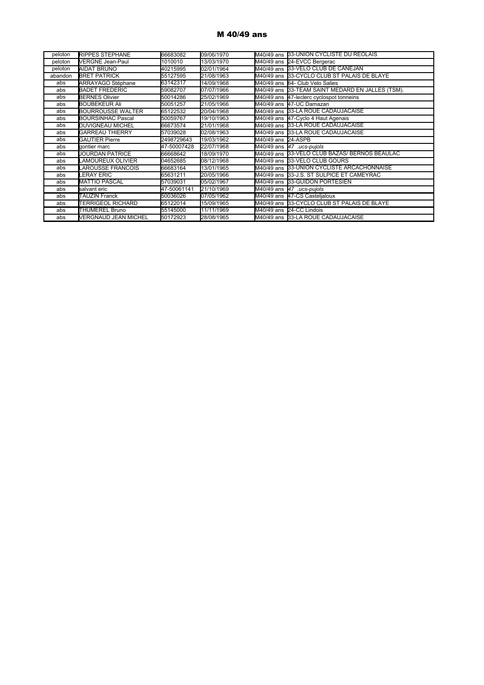#### M 40/49 ans

| peloton | <b>RIPPES STEPHANE</b>      | 66683082    | 09/06/1970 |                    | M40/49 ans 33-UNION CYCLISTE DU REOLAIS          |
|---------|-----------------------------|-------------|------------|--------------------|--------------------------------------------------|
| peloton | <b>VERGNE Jean-Paul</b>     | 1010010     | 13/03/1970 |                    | M40/49 ans 24-EVCC Bergerac                      |
| peloton | <b>AIDAT BRUNO</b>          | 40215995    | 02/01/1964 |                    | M40/49 ans 133-VELO CLUB DE CANEJAN              |
| abandon | <b>BRET PATRICK</b>         | 55127595    | 21/08/1963 |                    | M40/49 ans 33-CYCLO CLUB ST PALAIS DE BLAYE      |
| abs     | ARRAYAGO Stéphane           | 63142317    | 14/09/1968 |                    | M40/49 ans 64- Club Velo Salies                  |
| abs     | <b>BADET FREDERIC</b>       | 59082707    | 07/07/1966 |                    | M40/49 ans 33-TEAM SAINT MEDARD EN JALLES (TSM). |
| abs     | <b>BERNES Olivier</b>       | 50014286    | 25/02/1969 |                    | M40/49 ans 47-leclerc cyclospot tonneins         |
| abs     | <b>BOUBEKEUR Ali</b>        | 50051257    | 21/05/1966 |                    | M40/49 ans 147-UC Damazan                        |
| abs     | <b>BOURROUSSE WALTER</b>    | 65122532    | 20/04/1968 |                    | M40/49 ans 33-LA ROUE CADAUJACAISE               |
| abs     | <b>BOURSINHAC Pascal</b>    | 50059767    | 19/10/1963 |                    | M40/49 ans 47-Cyclo 4 Haut Agenais               |
| abs     | <b>DUVIGNEAU MICHEL</b>     | 66673574    | 21/01/1968 |                    | M40/49 ans 33-LA ROUE CADAUJACAISE               |
| abs     | <b>GARREAU THIERRY</b>      | 57039028    | 02/08/1963 |                    | M40/49 ans 33-LA ROUE CADAUJACAISE               |
| abs     | <b>GAUTIER Pierre</b>       | 2498729643  | 19/03/1962 | M40/49 ans 24-ASPB |                                                  |
| abs     | gontier marc                | 47-50007428 | 22/07/1968 |                    | M40/49 ans  47 .ucs-pujols                       |
| abs     | <b>JOURDAN PATRICE</b>      | 66668642    | 18/09/1970 |                    | M40/49 ans 33-VELO CLUB BAZAS/ BERNOS BEAULAC    |
| abs     | LAMOUREUX OLIVIER           | 04652685    | 08/12/1968 |                    | M40/49 ans 33-VELO CLUB GOURS                    |
| abs     | LAROUSSE FRANCOIS           | 66683164    | 13/01/1965 |                    | M40/49 ans 33-UNION CYCLISTE ARCACHONNAISE       |
| abs     | LERAY ERIC                  | 65631211    | 20/05/1966 |                    | M40/49 ans 33-J.S. ST SULPICE ET CAMEYRAC        |
| abs     | <b>MATTIO PASCAL</b>        | 57039031    | 05/02/1967 |                    | M40/49 ans 33-GUIDON PORTESIEN                   |
| abs     | salvant eric                | 47-50061141 | 21/10/1969 |                    | M40/49 ans  47 .ucs-pujols                       |
| abs     | <b>TAUZIN Franck</b>        | 50036026    | 07/05/1962 |                    | M40/49 ans 47-CS Castelialoux                    |
| abs     | <b>TERRIGEOL RICHARD</b>    | 65122014    | 15/09/1965 |                    | M40/49 ans 33-CYCLO CLUB ST PALAIS DE BLAYE      |
| abs     | <b>THUMEREL Bruno</b>       | 55145000    | 11/11/1969 |                    | M40/49 ans 24-CC Lindois                         |
| abs     | <b>VERGNAUD JEAN MICHEL</b> | 50172923    | 28/08/1965 |                    | M40/49 ans 33-LA ROUE CADAUJACAISE               |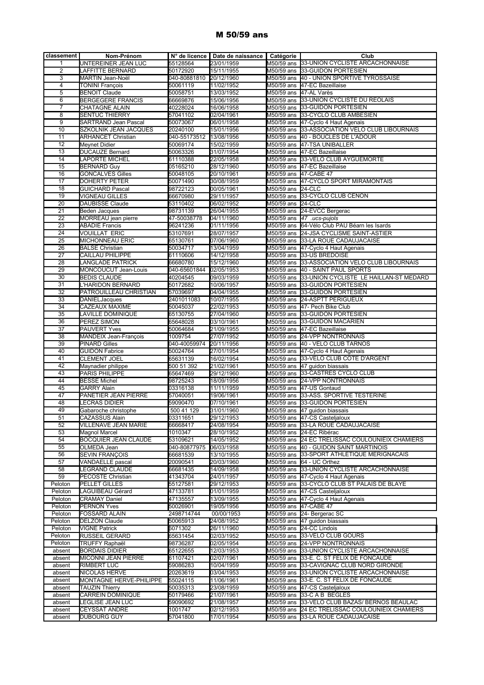#### M 50/59 ans

| classement      | Nom-Prénom                                           |                         | N° de licence   Date de naissance   Catégorie |                        | Club                                                              |
|-----------------|------------------------------------------------------|-------------------------|-----------------------------------------------|------------------------|-------------------------------------------------------------------|
| 1               | UNTEREINER JEAN LUC                                  | 55128564                | 23/01/1959                                    |                        | M50/59 ans 33-UNION CYCLISTE ARCACHONNAISE                        |
| $\overline{2}$  | LAFFITTE BERNARD                                     | 50172920                | 15/11/1955                                    |                        | M50/59 ans 33-GUIDON PORTESIEN                                    |
| 3               | MARTIN Jean-Noël                                     | 040-80881810            | 20/12/1960                                    |                        | M50/59 ans  40 - UNION SPORTIVE TYROSSAISE                        |
| $\overline{4}$  | <b>TONINI François</b>                               | 50061119                | 11/02/1952                                    |                        | M50/59 ans 47-EC Bazeillaise                                      |
| 5               | <b>BENOIT Claude</b>                                 | 50058751                | 13/03/1952                                    | M50/59 ans 47-AL Varès |                                                                   |
| $6\overline{6}$ | <b>BERGEGERE FRANCIS</b>                             | 66669876                | 15/06/1956                                    |                        | M50/59 ans 33-UNION CYCLISTE DU REOLAIS                           |
| $\overline{7}$  | <b>CHATAGNE ALAIN</b>                                | 40228024                | 16/06/1958                                    |                        | M50/59 ans 33-GUIDON PORTESIEN                                    |
| 8               | <b>SENTUC THIERRY</b>                                | 57041102                | 02/04/1961                                    |                        | M50/59 ans 33-CYCLO CLUB AMBESIEN                                 |
| 9               | <b>SARTRAND Jean Pascal</b>                          | 50073067                | 06/01/1958                                    |                        | M50/59 ans 47-Cyclo 4 Haut Agenais                                |
| 10              | SZKOLNIK JEAN JACQUES                                | 20240100                | 15/01/1956                                    |                        | M50/59 ans 33-ASSOCIATION VELO CLUB LIBOURNAIS                    |
| 11              | <b>ARHANCET Christian</b>                            | 040-55173512            | 13/08/1956                                    |                        | M50/59 ans 40 - BOUCLES DE L'ADOUR                                |
| 12              | Meynet Didier                                        | 50069174                | 15/02/1959                                    |                        | M50/59 ans 47-TSA UNIBALLER                                       |
| 13              | DUCAUZE Bernard                                      | 50063326                | 31/07/1954                                    |                        | M50/59 ans 47-EC Bazeillaise                                      |
| 14              | <b>APORTE MICHEL</b>                                 | 61110388                | 22/05/1958                                    |                        | M50/59 ans 33-VELO CLUB AYGUEMORTE                                |
| 15              | <b>BERNARD Guy</b>                                   | 05165210                | 28/12/1960                                    |                        | M50/59 ans 47-EC Bazeillaise                                      |
| 16              | <b>GONCALVES Gilles</b>                              |                         |                                               | M50/59 ans 47-CABE 47  |                                                                   |
| 17              | <b>DOHERTY PETER</b>                                 | 50048105<br>50071490    | 20/10/1961                                    |                        | M50/59 ans 47-CYCLO SPORT MIRAMONTAIS                             |
|                 |                                                      |                         | 30/08/1959                                    |                        |                                                                   |
| 18              | <b>GUICHARD Pascal</b>                               | 98722123                | 00/05/1961                                    | M50/59 ans 24-CLC      |                                                                   |
| 19              | <b>VIGNEAU GILLES</b>                                | 66670980                | 29/11/1957                                    |                        | M50/59 ans 33-CYCLO CLUB CENON                                    |
| 20              | DAUBISSE Claude                                      | 53110402                | 06/02/1952                                    | M50/59 ans 24-CLC      |                                                                   |
| 21              | <b>Beden Jacques</b>                                 | 98731139                | 26/04/1955                                    |                        | M50/59 ans 24-EVCC Bergerac                                       |
| 22              | MORREAU jean pierre                                  | 47-50038778             | 04/11/1960                                    |                        | M50/59 ans $\sqrt{47}$ .ucs-pujols                                |
| 23              | <b>ABADIE Francis</b>                                | 96241236                | 01/11/1956                                    |                        | M50/59 ans 64-Vélo Club PAU Béarn les Isards                      |
| 24              | <b>VOUILLAT ERIC</b>                                 | 53107691                | 28/07/1957                                    |                        | M50/59 ans 24-JSA CYCLISME SAINT-ASTIER                           |
| $\overline{25}$ | MICHONNEAU ERIC                                      | 65130761                | 07/06/1960                                    |                        | M50/59 ans 33-LA ROUE CADAUJACAISE                                |
| 26              | <b>BALSE Christian</b>                               | 50034717                | 13/04/1959                                    |                        | M50/59 ans 47-Cyclo 4 Haut Agenais                                |
| $\overline{27}$ | CAILLAU PHILIPPE                                     | 61110606                | 14/12/1958                                    |                        | M50/59 ans 33-US BREDOISE                                         |
| 28              | <b>LANGLADE PATRICK</b>                              | 66680780                | 15/12/1960                                    |                        | M50/59 ans 33-ASSOCIATION VELO CLUB LIBOURNAIS                    |
| 29              | MONCOUCUT Jean-Louis                                 | 040-65601844            | 02/05/1953                                    |                        | M50/59 ans 40 - SAINT PAUL SPORTS                                 |
| 30              | <b>BEDIS CLAUDE</b>                                  | 40204545                | 09/03/1959                                    |                        | M50/59 ans 33-UNION CYCLISTE LE HAILLAN-ST MEDARD                 |
| 31              | L'HARIDON BERNARD                                    | 50172682                | 10/06/1957                                    |                        | M50/59 ans 33-GUIDON PORTESIEN                                    |
| 32              | PATROUILLEAU CHRISTIAN                               | 57039697                | 04/04/1955                                    |                        | M50/59 ans 33-GUIDON PORTESIEN                                    |
| 33              | <b>DANIELJacques</b>                                 | 2401011083              | 10/07/1955                                    |                        | M50/59 ans 24-ASPTT PERIGUEUX                                     |
| 34              | CAZEAUX MAXIME                                       | 50045037                | 22/02/1953                                    |                        | M50/59 ans 47- Pech Bike Club                                     |
| $\overline{35}$ | LAVILLE DOMINIQUE                                    | 65130755                | 27/04/1960                                    |                        | M50/59 ans 33-GUIDON PORTESIEN                                    |
| 36              | PEREZ SIMON                                          | 65648028                | 03/10/1961                                    |                        | M50/59 ans 33-GUIDON MACARIEN                                     |
| 37              | <b>PAUVERT Yves</b>                                  | 50064684                | 21/09/1955                                    |                        | M50/59 ans 47-EC Bazeillaise                                      |
| 38<br>39        | <b>MANDEIX Jean-François</b><br><b>PINARD Gilles</b> | 1009754<br>040-40059974 | 27/07/1952<br>20/11/1956                      |                        | M50/59 ans 24-VPP NONTRONNAIS<br>M50/59 ans 40 - VELO CLUB TARNOS |
| 40              | <b>GUIDON Fabrice</b>                                | 50024764                | 27/01/1954                                    |                        | M50/59 ans 47-Cyclo 4 Haut Agenais                                |
| 41              | CLEMENT JOEL                                         | 65631139                | 16/02/1954                                    |                        | M50/59 ans 33-VELO CLUB COTE D'ARGENT                             |
| 42              | Maynadier philippe                                   | 500 51 392              | 21/02/1961                                    |                        | M50/59 ans 47 guidon biassais                                     |
| 43              | PARIS PHILIPPE                                       | 65647469                | 29/12/1960                                    |                        | M50/59 ans 33-CASTRES CYCLO CLUB                                  |
| 44              | <b>BESSE Michel</b>                                  | 98725243                | 18/09/1956                                    |                        | M50/59 ans 24-VPP NONTRONNAIS                                     |
| 45              | <b>GARRY Alain</b>                                   | 03316138                | 11/11/1959                                    |                        | M50/59 ans 47-US Gontaud                                          |
| 47              | PANETIER JEAN PIERRE                                 | 57040051                | 19/06/1961                                    |                        | M50/59 ans 33-ASS. SPORTIVE TESTERINE                             |
| 48              | LECRAS DIDIER                                        | 59090470                | 07/10/1961                                    |                        | M50/59 ans 33-GUIDON PORTESIEN                                    |
| 49              | Gabaroche christophe                                 | 500 41 129              | 31/01/1960                                    |                        | M50/59 ans 47 guidon biassais                                     |
| $\overline{51}$ | CAZASSUS Alain                                       | 03311651                | 29/12/1953                                    |                        | M50/59 ans 47-CS Casteljaloux                                     |
| 52              | VILLENAVE JEAN MARIE                                 | 66668417                | 24/08/1954                                    |                        | M50/59 ans 33-LA ROUE CADAUJACAISE                                |
| 53              | Magnol Marcel                                        | 1010347                 | 28/10/1952                                    |                        | M50/59 ans 24-EC Ribérac                                          |
| 54              | BOCQUIER JEAN CLAUDE                                 | 53109621                | 14/05/1952                                    |                        | M50/59 ans 24 EC TRELISSAC COULOUNIEIX CHAMIERS                   |
| 55              | OLMEDA Jean                                          | 040-80877975            | 06/03/1958                                    |                        | M50/59 ans 40 - GUIDON SAINT MARTINOIS                            |
| 56              | <b>SEVIN FRANCOIS</b>                                | 66681539                | 13/10/1955                                    |                        | M50/59 ans 33-SPORT ATHLETIQUE MERIGNACAIS                        |
| 57              | <b>VANDAELLE</b> pascal                              | 20090541                | 20/03/1960                                    |                        | M50/59 ans 64 - UC Orthez                                         |
| 58              | LEGRAND CLAUDE                                       | 66681435                | 14/09/1958                                    |                        | M50/59 ans 33-UNION CYCLISTE ARCACHONNAISE                        |
| 59              | PECOSTE Christian                                    | 41343704                | 24/01/1957                                    |                        | M50/59 ans 47-Cyclo 4 Haut Agenais                                |
| Peloton         | PELLET GILLES                                        | 55127581                | 29/12/1953                                    |                        | M50/59 ans 33-CYCLO CLUB ST PALAIS DE BLAYE                       |
| Peloton         | LAGUIBEAU Gérard                                     | 47133781                | 01/01/1959                                    |                        | M50/59 ans 47-CS Casteljaloux                                     |
| Peloton         | <b>CRAMAY Daniel</b>                                 | 47135557                | 13/09/1955                                    |                        | M50/59 ans 47-Cyclo 4 Haut Agenais                                |
| Peloton         | <b>PERNON Yves</b>                                   | 50026901                | 19/05/1956                                    | M50/59 ans 47-CABE 47  |                                                                   |
| Peloton         | <b>FOSSARD ALAIN</b>                                 | 2498714744              | 00/00/1953                                    |                        | M50/59 ans 24- Bergerac SC                                        |
| Peloton         | <b>DELZON Claude</b>                                 | 50065913                | 24/08/1952                                    |                        | M50/59 ans 47 quidon biassais                                     |
| Peloton         | <b>VIGNE Patrick</b>                                 | 6071302                 | 26/11/1960                                    |                        | M50/59 ans 24-CC Lindois                                          |
| Peloton         | <b>RUSSEIL GERARD</b>                                | 65631454                | 02/03/1952                                    |                        | M50/59 ans 33-VELO CLUB GOURS                                     |
| Peloton         | <b>TRUFFY Raphaël</b>                                | 98736287                | 02/05/1954                                    |                        | M50/59 ans 24-VPP NONTRONNAIS                                     |
| absent          | <b>BORDAIS DIDIER</b>                                | 65122655                | 12/03/1953                                    |                        | M50/59 ans 33-UNION CYCLISTE ARCACHONNAISE                        |
| absent          | MICONNI JEAN PIERRE                                  | 61107421                | 02/07/1961                                    |                        | M50/59 ans 33-E. C. ST FELIX DE FONCAUDE                          |
| absent          | <b>RIMBERT LUC</b>                                   | 59086283                | 10/04/1959                                    |                        | M50/59 ans 33-CAVIGNAC CLUB NORD GIRONDE                          |
| absent          | NICOLAS HERVE                                        | 20263619                | 03/04/1953                                    |                        | M50/59 ans 33-UNION CYCLISTE ARCACHONNAISE                        |
| absent          | MONTAGNE HERVE-PHILIPPE                              | 55024115                | 11/06/1961                                    |                        | M50/59 ans 33-E. C. ST FELIX DE FONCAUDE                          |
| absent          | <b>TAUZIN Thierry</b>                                | 50035313                | 23/08/1959                                    |                        | M50/59 ans 47-CS Casteljaloux                                     |
| absent          | CARREIN DOMINIQUE                                    | 50179466                | 21/07/1961                                    |                        | M50/59 ans 33-CAB BEGLES                                          |
| absent          | LEGLISE JEAN LUC                                     | 59090692                | 21/08/1957                                    |                        | M50/59 ans 33-VELO CLUB BAZAS/ BERNOS BEAULAC                     |
| absent          | <b>CEYSSAT ANDRE</b>                                 | 1001747                 | 02/12/1953                                    |                        | M50/59 ans 24 EC TRELISSAC COULOUNIEIX CHAMIERS                   |
| absent          | <b>DUBOURG GUY</b>                                   | 57041800                | 17/01/1954                                    |                        | M50/59 ans 33-LA ROUE CADAUJACAISE                                |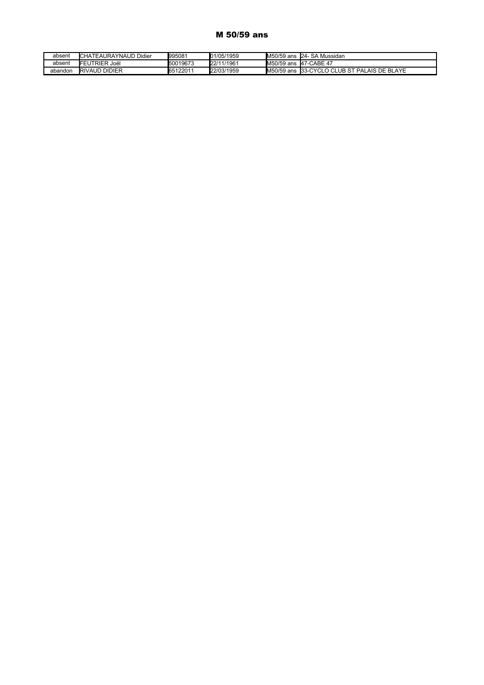#### M 50/59 ans

| absent  | <b>ICHATEAURAYNAUD</b><br>Didier | 1995081  | 01/05/1959 | M50/59 ans | - SA Mussidan<br>$24-$                 |
|---------|----------------------------------|----------|------------|------------|----------------------------------------|
| absent  | <b>IFEUTRIER</b><br>lëol. S      | 50019673 | 22/11/1961 | M50/59 ans | . <b>I</b> 47-CABE 47                  |
| abandon | <b>RIVAUD DIDIER</b>             | 65122011 | 22/03/1959 | M50/59 ans | LO CLUB ST PALAIS DE BLAYE<br>33-CYCLO |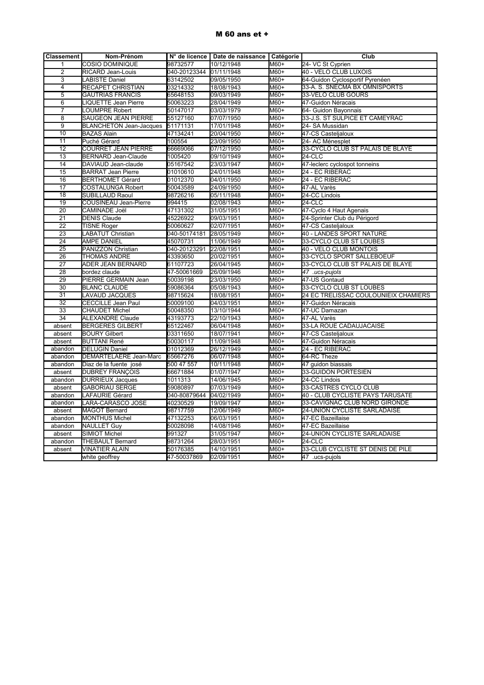#### M 60 ans et +

| <b>Classement</b> | Nom-Prénom                     |                         | N° de licence   Date de naissance   Catégorie |                       | Club                                 |
|-------------------|--------------------------------|-------------------------|-----------------------------------------------|-----------------------|--------------------------------------|
| 1                 | <b>COSIO DOMINIQUE</b>         | 98732577                | 10/12/1948                                    | M60+                  | 24- VC St Cyprien                    |
| $\overline{2}$    | RICARD Jean-Louis              | 040-20123344 01/11/1948 |                                               | $M60+$                | 40 - VELO CLUB LUXOIS                |
| $\overline{3}$    | <b>ABISTE Daniel</b>           | 63142502                | 09/05/1950                                    | $M60+$                | 64-Guidon Cyclosportif Pyrenéen      |
| $\overline{4}$    | RECAPET CHRISTIAN              | 03214332                | 18/08/1943                                    | M60+                  | 33-A. S. SNECMA BX OMNISPORTS        |
| 5                 | <b>GAUTRIAS FRANCIS</b>        | 65648153                | 09/03/1949                                    | M60+                  | 33-VELO CLUB GOURS                   |
| $6\overline{6}$   | LIQUETTE Jean Pierre           | 50063223                | 28/04/1949                                    | M60+                  | 47-Guidon Néracais                   |
| $\overline{7}$    | <b>CUMPRE Robert</b>           | 50147017                | 03/03/1979                                    | $M60+$                | 64- Guidon Bayonnais                 |
| 8                 | SAUGEON JEAN PIERRE            | 55127160                | 07/07/1950                                    | M60+                  | 33-J.S. ST SULPICE ET CAMEYRAC       |
| $\overline{9}$    | <b>BLANCHETON Jean-Jacques</b> | 51171131                | 17/01/1948                                    | H09M                  | 24- SA Mussidan                      |
| 10                | <b>BAZAS Alain</b>             | 47134241                | 20/04/1950                                    | M60+                  | 47-CS Casteljaloux                   |
| 11                | Puché Gérard                   | 100554                  | 23/09/1950                                    | <b>M60+</b>           | 24- AC Ménesplet                     |
| $\overline{12}$   | <b>COURRET JEAN PIERRE</b>     | 66669066                | 07/12/1950                                    | M60+                  | 33-CYCLO CLUB ST PALAIS DE BLAYE     |
| $\overline{13}$   | <b>BERNARD Jean-Claude</b>     | 1005420                 | 09/10/1949                                    | M60+                  | 24-CLC                               |
| 14                | DAVIAUD Jean-claude            | 05167542                | 23/03/1947                                    | M60+                  | 47-leclerc cyclospot tonneins        |
| 15                | <b>BARRAT Jean Pierre</b>      | 01010610                | 24/01/1948                                    | H09M                  | 24 - EC RIBERAC                      |
| $\overline{16}$   | <b>BERTHOMET Gérard</b>        | 01012370                | 04/01/1950                                    | $H$ <sub>+0</sub> $H$ | 24 - EC RIBERAC                      |
| 17                | <b>COSTALUNGA Robert</b>       | 50043589                | 24/09/1950                                    | M60+                  | 47-AL Varès                          |
| 18                | SUBILLAUD Raoul                | 98726216                | 05/11/1948                                    | M60+                  | 24-CC Lindois                        |
| 19                | <b>COUSINEAU Jean-Pierre</b>   | 994415                  | 02/08/1943                                    | M60+                  | $24$ -CLC                            |
| 20                | CAMINADE Joël                  | 47131302                | 31/05/1951                                    | M60+                  | 47-Cyclo 4 Haut Agenais              |
| $\overline{21}$   | <b>DENIS Claude</b>            | 45226922                | 09/03/1951                                    | M60+                  | 24-Sprinter Club du Périgord         |
| $\overline{22}$   | <b>TISNE Roger</b>             | 50060627                | 02/07/1951                                    | M60+                  | 47-CS Casteljaloux                   |
| 23                | LABATUT Christian              | 040-50174181            | 28/05/1949                                    | M60+                  | 40 - LANDES SPORT NATURE             |
| $\overline{24}$   | <b>AMPE DANIEL</b>             | 45070731                | 11/06/1949                                    | M60+                  | 33-CYCLO CLUB ST LOUBES              |
| $\overline{25}$   | PANIZZON Christian             | 040-20123291            | 22/08/1951                                    | M60+                  | 40 - VELO CLUB MONTOIS               |
| 26                | THOMAS ANDRE                   | 43393650                | 20/02/1951                                    | M60+                  | 33-CYCLO SPORT SALLEBOEUF            |
| 27                | ADER JEAN BERNARD              | 61107723                | 26/04/1945                                    | M60+                  | 33-CYCLO CLUB ST PALAIS DE BLAYE     |
| 28                | bordez claude                  | 47-50061669             | 26/09/1946                                    | M60+                  | 47 .ucs-pujols                       |
| $\overline{29}$   | PIERRE GERMAIN Jean            | 50039198                | 23/03/1950                                    | $M60+$                | 47-US Gontaud                        |
| 30                | <b>BLANC CLAUDE</b>            | 59086364                | 05/08/1943                                    | M60+                  | 33-CYCLO CLUB ST LOUBES              |
| 31                | <b>LAVAUD JACQUES</b>          | 98715624                | 18/08/1951                                    | M60+                  | 24 EC TRELISSAC COULOUNIEIX CHAMIERS |
| $\overline{32}$   | <b>CECCILLE Jean Paul</b>      | 50009100                | 04/03/1951                                    | $M60+$                | 47-Guidon Néracais                   |
| 33                | <b>CHAUDET Michel</b>          | 50048350                | 13/10/1944                                    | M60+                  | 47-UC Damazan                        |
| $\overline{34}$   | <b>ALEXANDRE Claude</b>        | 43193773                | 22/10/1943                                    | M60+                  | 47-AL Varès                          |
| absent            | <b>BERGERES GILBERT</b>        | 65122467                | 06/04/1948                                    | M60+                  | 33-LA ROUE CADAUJACAISE              |
| absent            | <b>BOURY Gilbert</b>           | 03311650                | 18/07/1941                                    | M60+                  | 47-CS Casteljaloux                   |
| absent            | <b>BUTTANI René</b>            | 50030117                | 11/09/1948                                    | H09M                  | 47-Guidon Néracais                   |
| abandon           | <b>DELUGIN Daniel</b>          | 01012369                | 26/12/1949                                    | $M60+$                | 24 - EC RIBERAC                      |
| abandon           | DEMARTELAERE Jean-Marc         | 65667276                | 06/07/1948                                    | M60+                  | 64-RC Theze                          |
| abandon           | Diaz de la fuente josé         | 500 47 557              | 10/11/1948                                    | $M60+$                | 47 guidon biassais                   |
| absent            | <b>DUBREY FRANÇOIS</b>         | 66671884                | 01/07/1947                                    | $M60+$                | 33-GUIDON PORTESIEN                  |
| abandon           | <b>DURRIEUX Jacques</b>        | 1011313                 | 14/06/1945                                    | M60+                  | 24-CC Lindois                        |
| absent            | <b>GABORIAU SERGE</b>          | 59080897                | 07/03/1949                                    | $M60+$                | 33-CASTRES CYCLO CLUB                |
| abandon           | LAFAURIE Gérard                | 040-80879644            | 04/02/1949                                    | M60+                  | 40 - CLUB CYCLISTE PAYS TARUSATE     |
| abandon           | LARA-CARASCO JOSE              | 40230529                | 19/09/1947                                    | $M60+$                | 33-CAVIGNAC CLUB NORD GIRONDE        |
| absent            | <b>MAGOT Bernard</b>           | 98717759                | 12/06/1949                                    | $H$ <sub>+0</sub> $H$ | 24-UNION CYCLISTE SARLADAISE         |
| abandon           | <b>MONTHUS Michel</b>          | 47132253                | 06/03/1951                                    | M60+                  | 47-EC Bazeillaise                    |
| abandon           | <b>NAULLET Guy</b>             | 50028098                | 14/08/1946                                    | M60+                  | 47-EC Bazeillaise                    |
| absent            | <b>SIMIOT Michel</b>           | 991327                  | 31/05/1947                                    | M60+                  | 24-UNION CYCLISTE SARLADAISE         |
| abandon           | <b>THEBAULT Bernard</b>        | 98731264                | 28/03/1951                                    | M60+                  | 24-CLC                               |
| absent            | <b>VINATIER ALAIN</b>          | 50176385                | 14/10/1951                                    | $M60+$                | 33-CLUB CYCLISTE ST DENIS DE PILE    |
|                   | white geoffrey                 | 47-50037869             | 02/09/1951                                    | M60+                  | 47 .ucs-pujols                       |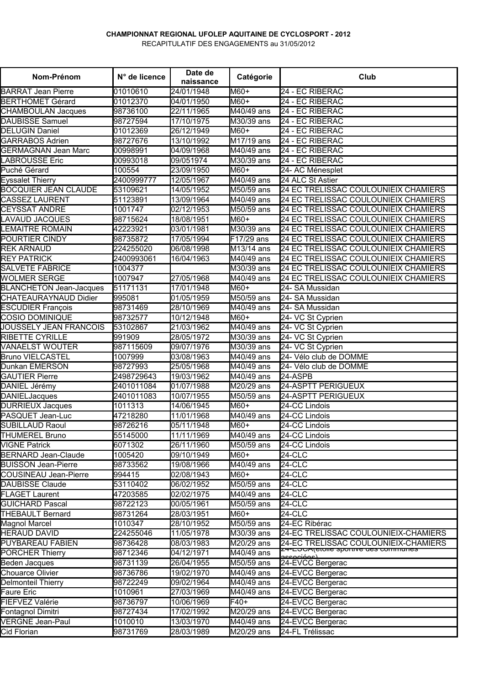#### **CHAMPIONNAT REGIONAL UFOLEP AQUITAINE DE CYCLOSPORT - 2012**

RECAPITULATIF DES ENGAGEMENTS au 31/05/2012

| Nom-Prénom                     | N° de licence | Date de<br>naissance | Catégorie                      | Club                                             |
|--------------------------------|---------------|----------------------|--------------------------------|--------------------------------------------------|
| <b>BARRAT Jean Pierre</b>      | 01010610      | 24/01/1948           | M60+                           | 24 - EC RIBERAC                                  |
| <b>BERTHOMET Gérard</b>        | 01012370      | 04/01/1950           | M60+                           | 24 - EC RIBERAC                                  |
| <b>CHAMBOULAN Jacques</b>      | 98736100      | 22/11/1965           | M40/49 ans                     | 24 - EC RIBERAC                                  |
| <b>DAUBISSE Samuel</b>         | 98727594      | 17/10/1975           | M30/39 ans                     | 24 - EC RIBERAC                                  |
| <b>DELUGIN Daniel</b>          | 01012369      | 26/12/1949           | M60+                           | 24 - EC RIBERAC                                  |
| <b>GARRABOS Adrien</b>         | 98727676      | 13/10/1992           | M17/19 ans                     | 24 - EC RIBERAC                                  |
| <b>GERMAGNAN Jean Marc</b>     | 00998991      | 04/09/1968           | $\overline{M40/49}$ ans        | 24 - EC RIBERAC                                  |
| <b>LABROUSSE Eric</b>          | 00993018      | 09/051974            | M30/39 ans                     | 24 - EC RIBERAC                                  |
| Puché Gérard                   | 100554        | 23/09/1950           | M60+                           | 24- AC Ménesplet                                 |
| <b>Eyssalet Thierry</b>        | 2400999777    | 12/05/1967           | $\overline{\text{M40/49}}$ ans | 24 ALC St Astier                                 |
| <b>BOCQUIER JEAN CLAUDE</b>    | 53109621      | 14/05/1952           | M50/59 ans                     | 24 EC TRELISSAC COULOUNIEIX CHAMIERS             |
| CASSEZ LAURENT                 | 51123891      | 13/09/1964           | M40/49 ans                     | 24 EC TRELISSAC COULOUNIEIX CHAMIERS             |
| <b>CEYSSAT ANDRE</b>           | 1001747       | 02/12/1953           | M50/59 ans                     | 24 EC TRELISSAC COULOUNIEIX CHAMIERS             |
| <b>LAVAUD JACQUES</b>          | 98715624      | 18/08/1951           | M60+                           | 24 EC TRELISSAC COULOUNIEIX CHAMIERS             |
| <b>LEMAITRE ROMAIN</b>         | 42223921      | 03/01/1981           | M30/39 ans                     | 24 EC TRELISSAC COULOUNIEIX CHAMIERS             |
| POURTIER CINDY                 | 98735872      | 17/05/1994           | F17/29 ans                     | 24 EC TRELISSAC COULOUNIEIX CHAMIERS             |
| <b>REK ARNAUD</b>              | 224255020     | 06/08/1998           | $\overline{M13}$ /14 ans       | 24 EC TRELISSAC COULOUNIEIX CHAMIERS             |
| <b>REY PATRICK</b>             | 2400993061    | 16/04/1963           | $\overline{\text{M40}}/49$ ans | 24 EC TRELISSAC COULOUNIEIX CHAMIERS             |
| <b>SALVETE FABRICE</b>         | 1004377       |                      | M30/39 ans                     | 24 EC TRELISSAC COULOUNIEIX CHAMIERS             |
| <b>WOLMER SERGE</b>            | 1007947       | 27/05/1968           | M40/49 ans                     | 24 EC TRELISSAC COULOUNIEIX CHAMIERS             |
| <b>BLANCHETON Jean-Jacques</b> | 51171131      | 17/01/1948           | M60+                           | 24- SA Mussidan                                  |
| CHATEAURAYNAUD Didier          | 995081        | 01/05/1959           | M50/59 ans                     | 24- SA Mussidan                                  |
| <b>ESCUDIER François</b>       | 98731469      | 28/10/1969           | M40/49 ans                     | 24- SA Mussidan                                  |
| <b>COSIO DOMINIQUE</b>         | 98732577      | 10/12/1948           | M60+                           | 24- VC St Cyprien                                |
| <b>JOUSSELY JEAN FRANCOIS</b>  | 53102867      | 21/03/1962           | M40/49 ans                     | 24- VC St Cyprien                                |
| RIBETTE CYRILLE                | 991909        | 28/05/1972           | M30/39 ans                     | 24- VC St Cyprien                                |
| <b>VANAELST WOUTER</b>         | 987115609     | 09/07/1976           | M30/39 ans                     | 24- VC St Cyprien                                |
| <b>Bruno VIELCASTEL</b>        | 1007999       | 03/08/1963           | $\overline{M40/49}$ ans        | 24- Vélo club de DOMME                           |
| Dunkan EMERSON                 | 98727993      | 25/05/1968           | $\overline{M40/49}$ ans        | 24- Vélo club de DOMME                           |
| <b>GAUTIER Pierre</b>          | 2498729643    | 19/03/1962           | $\overline{M40/49}$ ans        | 24-ASPB                                          |
| DANIEL Jérémy                  | 2401011084    | 01/07/1988           | M20/29 ans                     | <b>24-ASPTT PERIGUEUX</b>                        |
| <b>DANIELJacques</b>           | 2401011083    | 10/07/1955           | M50/59 ans                     | <b>24-ASPTT PERIGUEUX</b>                        |
| <b>DURRIEUX Jacques</b>        | 1011313       | 14/06/1945           | M60+                           | 24-CC Lindois                                    |
| PASQUET Jean-Luc               | 47218280      | 11/01/1968           | $\overline{M}$ 40/49 ans       | 24-CC Lindois                                    |
| <b>SUBILLAUD Raoul</b>         | 98726216      | 05/11/1948           | M60+                           | 24-CC Lindois                                    |
| <b>THUMEREL Bruno</b>          | 55145000      | 11/11/1969           | M40/49 ans                     | 24-CC Lindois                                    |
| <b>VIGNE Patrick</b>           | 6071302       | 26/11/1960           | M50/59 ans                     | 24-CC Lindois                                    |
| <b>BERNARD Jean-Claude</b>     | 1005420       | 09/10/1949           | +09M                           | 24-CLC                                           |
| <b>BUISSON Jean-Pierre</b>     | 98733562      | 19/08/1966           | M40/49 ans                     | 24-CLC                                           |
| COUSINEAU Jean-Pierre          | 994415        | 02/08/1943           | $H$ <sub>+0</sub>              | 24-CLC                                           |
| <b>DAUBISSE Claude</b>         | 53110402      | 06/02/1952           | M50/59 ans                     | <b>24-CLC</b>                                    |
| <b>FLAGET Laurent</b>          | 47203585      | 02/02/1975           | M40/49 ans                     | <b>24-CLC</b>                                    |
| <b>GUICHARD Pascal</b>         | 98722123      | 00/05/1961           | M50/59 ans                     | <b>24-CLC</b>                                    |
| <b>THEBAULT Bernard</b>        | 98731264      | 28/03/1951           | M60+                           | 24-CLC                                           |
| Magnol Marcel                  | 1010347       | 28/10/1952           | M50/59 ans                     | 24-EC Ribérac                                    |
| <b>HERAUD DAVID</b>            | 224255046     | 11/05/1978           | $\overline{\text{M}}30/39$ ans | 24-EC TRELISSAC COULOUNIEIX-CHAMIERS             |
| <b>PUYBAREAU FABIEN</b>        | 98736428      | 08/03/1983           | M20/29 ans                     | 24-EC TRELISSAC COULOUNIEIX-CHAMIERS             |
| PORCHER Thierry                | 98712346      | 04/12/1971           | M40/49 ans                     | <del>24-ESCA (etoile sportive des communes</del> |
| Beden Jacques                  | 98731139      | 26/04/1955           | M50/59 ans                     | لممفنممموه<br>24-EVCC Bergerac                   |
| Chouarce Olivier               | 98736786      | 19/02/1970           | M40/49 ans                     | 24-EVCC Bergerac                                 |
| Delmonteil Thierry             | 98722249      | 09/02/1964           | M40/49 ans                     | 24-EVCC Bergerac                                 |
| Faure Eric                     | 1010961       | 27/03/1969           | M40/49 ans                     | 24-EVCC Bergerac                                 |
| FIEFVEZ Valérie                | 98736797      | 10/06/1969           | $F40+$                         | 24-EVCC Bergerac                                 |
| Fontagnol Dimitri              | 98727434      | 17/02/1992           | M20/29 ans                     | 24-EVCC Bergerac                                 |
| <b>VERGNE Jean-Paul</b>        | 1010010       | 13/03/1970           | M40/49 ans                     | 24-EVCC Bergerac                                 |
|                                |               |                      |                                | 24-FL Trélissac                                  |
| Cid Florian                    | 98731769      | 28/03/1989           | M20/29 ans                     |                                                  |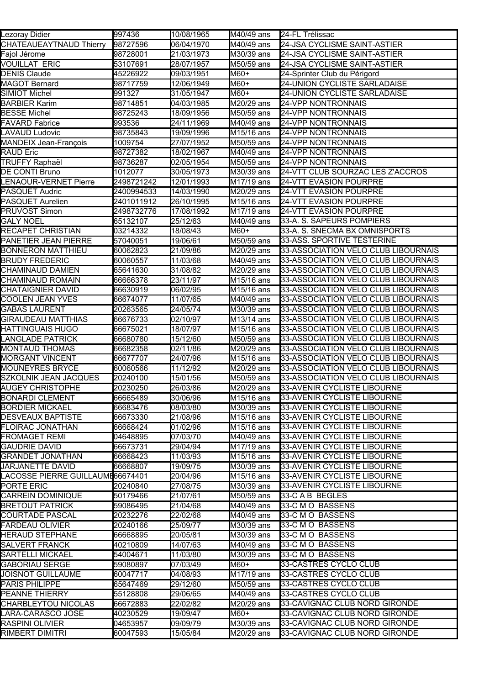| Lezoray Didier                   | 997436     | 10/08/1965 | M40/49 ans               | 24-FL Trélissac                     |
|----------------------------------|------------|------------|--------------------------|-------------------------------------|
| CHATEAUEAYTNAUD Thierry          | 98727596   | 06/04/1970 | M40/49 ans               | 24-JSA CYCLISME SAINT-ASTIER        |
| Fajol Jérome                     | 98728001   | 21/03/1973 | M30/39 ans               | 24-JSA CYCLISME SAINT-ASTIER        |
| <b>VOUILLAT ERIC</b>             | 53107691   | 28/07/1957 | M50/59 ans               | 24-JSA CYCLISME SAINT-ASTIER        |
| DENIS Claude                     | 45226922   | 09/03/1951 | M60+                     | 24-Sprinter Club du Périgord        |
| MAGOT Bernard                    | 98717759   | 12/06/1949 | M60+                     | 24-UNION CYCLISTE SARLADAISE        |
| SIMIOT Michel                    | 991327     | 31/05/1947 | M60+                     | 24-UNION CYCLISTE SARLADAISE        |
| BARBIER Karim                    | 98714851   | 04/03/1985 | M20/29 ans               | 24-VPP NONTRONNAIS                  |
| <b>BESSE Michel</b>              | 98725243   | 18/09/1956 | M50/59 ans               | 24-VPP NONTRONNAIS                  |
| <b>FAVARD Fabrice</b>            | 993536     | 24/11/1969 | M40/49 ans               | <b>24-VPP NONTRONNAIS</b>           |
| LAVAUD Ludovic                   | 98735843   | 19/09/1996 | M <sub>15</sub> /16 ans  | <b>24-VPP NONTRONNAIS</b>           |
| <b>MANDEIX Jean-François</b>     | 1009754    | 27/07/1952 | M50/59 ans               | <b>24-VPP NONTRONNAIS</b>           |
| RAUD Eric                        | 98727382   | 18/02/1967 | M40/49 ans               | <b>24-VPP NONTRONNAIS</b>           |
| TRUFFY Raphaël                   | 98736287   | 02/05/1954 | M50/59 ans               | <b>24-VPP NONTRONNAIS</b>           |
| DE CONTI Bruno                   | 1012077    | 30/05/1973 | M30/39 ans               | 24-VTT CLUB SOURZAC LES Z'ACCROS    |
| LENAOUR-VERNET Pierre            | 2498721242 | 12/01/1993 | M17/19 ans               | <b>24-VTT EVASION POURPRE</b>       |
| PASQUET Audric                   | 2400994533 | 14/03/1990 | M20/29 ans               | <b>24-VTT EVASION POURPRE</b>       |
| PASQUET Aurelien                 | 2401011912 | 26/10/1995 | M15/16 ans               | <b>24-VTT EVASION POURPRE</b>       |
| PRUVOST Simon                    | 2498732776 | 17/08/1992 | M <sub>17</sub> /19 ans  | 24-VTT EVASION POURPRE              |
| <b>GALY NOEL</b>                 | 65132107   | 25/12/63   | M40/49 ans               | 33-A. S. SAPEURS POMPIERS           |
| RECAPET CHRISTIAN                | 03214332   | 18/08/43   | M60+                     | 33-A. S. SNECMA BX OMNISPORTS       |
| PANETIER JEAN PIERRE             | 57040051   | 19/06/61   | M50/59 ans               | 33-ASS. SPORTIVE TESTERINE          |
| BONNERON MATTHIEU                | 60062823   | 21/09/86   | M20/29 ans               | 33-ASSOCIATION VELO CLUB LIBOURNAIS |
| <b>BRUDY FREDERIC</b>            | 60060557   | 11/03/68   | M40/49 ans               | 33-ASSOCIATION VELO CLUB LIBOURNAIS |
| CHAMINAUD DAMIEN                 | 65641630   | 31/08/82   | M20/29 ans               | 33-ASSOCIATION VELO CLUB LIBOURNAIS |
| CHAMINAUD ROMAIN                 | 66666378   | 23/11/97   | M15/16 ans               | 33-ASSOCIATION VELO CLUB LIBOURNAIS |
| <b>CHATAIGNIER DAVID</b>         | 66630919   | 06/02/95   | M <sub>15</sub> /16 ans  | 33-ASSOCIATION VELO CLUB LIBOURNAIS |
| COOLEN JEAN YVES                 | 66674077   | 11/07/65   | M40/49 ans               | 33-ASSOCIATION VELO CLUB LIBOURNAIS |
| <b>GABAS LAURENT</b>             | 20263565   | 24/05/74   | M30/39 ans               | 33-ASSOCIATION VELO CLUB LIBOURNAIS |
| GIRAUDEAU MATTHIAS               | 66676733   | 02/10/97   | M13/14 ans               | 33-ASSOCIATION VELO CLUB LIBOURNAIS |
| HATTINGUAIS HUGO                 | 66675021   | 18/07/97   | $\overline{M15}$ /16 ans | 33-ASSOCIATION VELO CLUB LIBOURNAIS |
| <b>LANGLADE PATRICK</b>          | 66680780   | 15/12/60   | M50/59 ans               | 33-ASSOCIATION VELO CLUB LIBOURNAIS |
| <b>MONTAUD THOMAS</b>            | 66682358   | 02/11/86   | M20/29 ans               | 33-ASSOCIATION VELO CLUB LIBOURNAIS |
| <b>MORGANT VINCENT</b>           | 66677707   | 24/07/96   | M15/16 ans               | 33-ASSOCIATION VELO CLUB LIBOURNAIS |
| <b>MOUNEYRES BRYCE</b>           | 60060566   | 11/12/92   | M20/29 ans               | 33-ASSOCIATION VELO CLUB LIBOURNAIS |
| SZKOLNIK JEAN JACQUES            | 20240100   | 15/01/56   | M50/59 ans               | 33-ASSOCIATION VELO CLUB LIBOURNAIS |
| AUGEY CHRISTOPHE                 | 20230250   | 26/03/86   | M20/29 ans               | 33-AVENIR CYCLISTE LIBOURNE         |
| <b>BONARDI CLEMENT</b>           | 66665489   | 30/06/96   | M <sub>15</sub> /16 ans  | 33-AVENIR CYCLISTE LIBOURNE         |
| <b>BORDIER MICKAEL</b>           | 66683476   | 08/03/80   | M30/39 ans               | 33-AVENIR CYCLISTE LIBOURNE         |
| <b>DESVEAUX BAPTISTE</b>         | 66673330   | 21/08/96   | $\overline{M15/1}6$ ans  | 33-AVENIR CYCLISTE LIBOURNE         |
| FLOIRAC JONATHAN                 | 66668424   | 01/02/96   | M15/16 ans               | 33-AVENIR CYCLISTE LIBOURNE         |
| <b>FROMAGET REMI</b>             | 04648895   | 07/03/70   | M40/49 ans               | 33-AVENIR CYCLISTE LIBOURNE         |
| <b>GAUDRIE DAVID</b>             | 66673731   | 29/04/94   | M17/19 ans               | 33-AVENIR CYCLISTE LIBOURNE         |
| <b>GRANDET JONATHAN</b>          | 66668423   | 11/03/93   | M15/16 ans               | 33-AVENIR CYCLISTE LIBOURNE         |
| <b>JARJANETTE DAVID</b>          | 66668807   | 19/09/75   | M30/39 ans               | 33-AVENIR CYCLISTE LIBOURNE         |
| LACOSSE PIERRE GUILLAUME66674401 |            | 20/04/96   | M15/16 ans               | 33-AVENIR CYCLISTE LIBOURNE         |
| PORTE ERIC                       | 20240840   | 27/08/75   | M30/39 ans               | 33-AVENIR CYCLISTE LIBOURNE         |
| CARREIN DOMINIQUE                | 50179466   | 21/07/61   | M50/59 ans               | 33-C A B BEGLES                     |
| <b>BRETOUT PATRICK</b>           | 59086495   | 21/04/68   | M40/49 ans               | 33-C M O BASSENS                    |
| COURTADE PASCAL                  | 20232276   | 22/02/68   | M40/49 ans               | 33-C M O BASSENS                    |
| <b>FARDEAU OLIVIER</b>           | 20240166   | 25/09/77   | M30/39 ans               | 33-C M O BASSENS                    |
| <b>HERAUD STEPHANE</b>           | 66668895   | 20/05/81   | M30/39 ans               | 33-C M O BASSENS                    |
| SALVERT FRANCK                   | 40210809   | 14/07/63   | M40/49 ans               | 33-C M O BASSENS                    |
| SARTELLI MICKAEL                 | 54004671   | 11/03/80   | M30/39 ans               | 33-C M O BASSENS                    |
| <b>GABORIAU SERGE</b>            | 59080897   | 07/03/49   | M60+                     | 33-CASTRES CYCLO CLUB               |
| <b>JOISNOT GUILLAUME</b>         | 60047717   | 04/08/93   | M17/19 ans               | 33-CASTRES CYCLO CLUB               |
| PARIS PHILIPPE                   | 65647469   | 29/12/60   | M50/59 ans               | 33-CASTRES CYCLO CLUB               |
| PEANNE THIERRY                   | 55128808   | 29/06/65   | M40/49 ans               | 33-CASTRES CYCLO CLUB               |
| CHARBLEYTOU NICOLAS              | 66672883   | 22/02/82   | M20/29 ans               | 33-CAVIGNAC CLUB NORD GIRONDE       |
| LARA-CARASCO JOSE                | 40230529   | 19/09/47   | M60+                     | 33-CAVIGNAC CLUB NORD GIRONDE       |
| RASPINI OLIVIER                  | 04653957   | 09/09/79   | M30/39 ans               | 33-CAVIGNAC CLUB NORD GIRONDE       |
| RIMBERT DIMITRI                  | 60047593   | 15/05/84   | M20/29 ans               | 33-CAVIGNAC CLUB NORD GIRONDE       |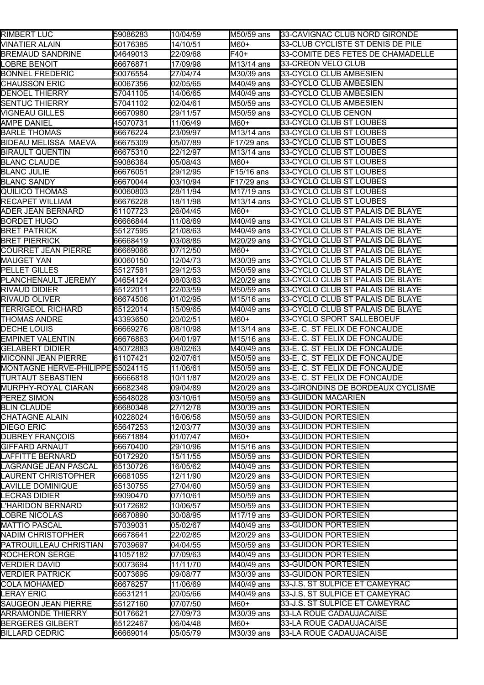| <b>RIMBERT LUC</b>               | 59086283 | 10/04/59 | M50/59 ans                     | 33-CAVIGNAC CLUB NORD GIRONDE     |
|----------------------------------|----------|----------|--------------------------------|-----------------------------------|
| <b>VINATIER ALAIN</b>            | 50176385 | 14/10/51 | M60+                           | 33-CLUB CYCLISTE ST DENIS DE PILE |
| <b>BREMAUD SANDRINE</b>          | 04649013 | 22/09/68 | F40+                           | 33-COMITE DES FETES DE CHAMADELLE |
| LOBRE BENOIT                     | 66676871 | 17/09/98 | M13/14 ans                     | 33-CREON VELO CLUB                |
| <b>BONNEL FREDERIC</b>           | 50076554 | 27/04/74 | M30/39 ans                     | 33-CYCLO CLUB AMBESIEN            |
| <b>CHAUSSON ERIC</b>             | 60067356 | 02/05/65 | M40/49 ans                     | 33-CYCLO CLUB AMBESIEN            |
| <b>DENOEL THIERRY</b>            | 57041105 | 14/06/65 | M40/49 ans                     | 33-CYCLO CLUB AMBESIEN            |
| <b>SENTUC THIERRY</b>            | 57041102 | 02/04/61 | M50/59 ans                     | 33-CYCLO CLUB AMBESIEN            |
| VIGNEAU GILLES                   | 66670980 | 29/11/57 | M50/59 ans                     | 33-CYCLO CLUB CENON               |
| AMPE DANIEL                      | 45070731 | 11/06/49 | M60+                           | 33-CYCLO CLUB ST LOUBES           |
| <b>BARLE THOMAS</b>              | 66676224 | 23/09/97 | M13/14 ans                     | 33-CYCLO CLUB ST LOUBES           |
| <b>BIDEAU MELISSA MAEVA</b>      | 66675309 | 05/07/89 | F17/29 ans                     | 33-CYCLO CLUB ST LOUBES           |
| <b>BIRAULT QUENTIN</b>           | 66675310 | 22/12/97 | M13/14 ans                     | 33-CYCLO CLUB ST LOUBES           |
| <b>BLANC CLAUDE</b>              | 59086364 | 05/08/43 | M60+                           | 33-CYCLO CLUB ST LOUBES           |
| <b>BLANC JULIE</b>               | 66676051 | 29/12/95 | F15/16 ans                     | 33-CYCLO CLUB ST LOUBES           |
| <b>BLANC SANDY</b>               | 66670044 | 03/10/94 | F17/29 ans                     | 33-CYCLO CLUB ST LOUBES           |
| QUILICO THOMAS                   | 60060803 | 28/11/94 | M17/19 ans                     | 33-CYCLO CLUB ST LOUBES           |
| <b>RECAPET WILLIAM</b>           | 66676228 | 18/11/98 | M13/14 ans                     | 33-CYCLO CLUB ST LOUBES           |
| ADER JEAN BERNARD                | 61107723 | 26/04/45 | M60+                           | 33-CYCLO CLUB ST PALAIS DE BLAYE  |
| <b>BORDET HUGO</b>               | 66666844 | 11/08/69 | M40/49 ans                     | 33-CYCLO CLUB ST PALAIS DE BLAYE  |
| <b>BRET PATRICK</b>              | 55127595 | 21/08/63 | M40/49 ans                     | 33-CYCLO CLUB ST PALAIS DE BLAYE  |
| <b>BRET PIERRICK</b>             | 66668419 | 03/08/85 | M20/29 ans                     | 33-CYCLO CLUB ST PALAIS DE BLAYE  |
| COURRET JEAN PIERRE              | 66669066 | 07/12/50 | M60+                           | 33-CYCLO CLUB ST PALAIS DE BLAYE  |
| <b>MAUGET YAN</b>                | 60060150 | 12/04/73 | M30/39 ans                     | 33-CYCLO CLUB ST PALAIS DE BLAYE  |
| <b>PELLET GILLES</b>             | 55127581 | 29/12/53 | M50/59 ans                     | 33-CYCLO CLUB ST PALAIS DE BLAYE  |
| PLANCHENAULT JEREMY              | 04654124 | 08/03/83 | M20/29 ans                     | 33-CYCLO CLUB ST PALAIS DE BLAYE  |
| <b>RIVAUD DIDIER</b>             | 65122011 | 22/03/59 | M50/59 ans                     | 33-CYCLO CLUB ST PALAIS DE BLAYE  |
| RIVAUD OLIVER                    | 66674506 | 01/02/95 | M15/16 ans                     | 33-CYCLO CLUB ST PALAIS DE BLAYE  |
| <b>TERRIGEOL RICHARD</b>         | 65122014 | 15/09/65 | M40/49 ans                     | 33-CYCLO CLUB ST PALAIS DE BLAYE  |
| <b>THOMAS ANDRE</b>              | 43393650 | 20/02/51 | M60+                           | 33-CYCLO SPORT SALLEBOEUF         |
| DECHE LOUIS                      | 66669276 | 08/10/98 | M13/14 ans                     | 33-E. C. ST FELIX DE FONCAUDE     |
| <b>EMPINET VALENTIN</b>          | 66676863 | 04/01/97 | M15/16 ans                     | 33-E. C. ST FELIX DE FONCAUDE     |
| <b>GELABERT DIDIER</b>           | 45072883 | 08/02/63 | M40/49 ans                     | 33-E. C. ST FELIX DE FONCAUDE     |
| <b>MICONNI JEAN PIERRE</b>       | 61107421 | 02/07/61 | M50/59 ans                     | 33-E. C. ST FELIX DE FONCAUDE     |
| MONTAGNE HERVE-PHILIPPE 55024115 |          | 11/06/61 | M50/59 ans                     | 33-E. C. ST FELIX DE FONCAUDE     |
| <b>TURTAUT SEBASTIEN</b>         | 66666818 | 10/11/87 | M20/29 ans                     | 33-E. C. ST FELIX DE FONCAUDE     |
| MURPHY-ROYAL CIARAN              | 66682348 | 09/04/89 | M20/29 ans                     | 33-GIRONDINS DE BORDEAUX CYCLISME |
| PEREZ SIMON                      | 65648028 | 03/10/61 | M50/59 ans                     | 33-GUIDON MACARIEN                |
| <b>BLIN CLAUDE</b>               | 66680348 | 27/12/78 | M30/39 ans                     | 33-GUIDON PORTESIEN               |
| <b>CHATAGNE ALAIN</b>            | 40228024 | 16/06/58 | M50/59 ans                     | 33-GUIDON PORTESIEN               |
| <b>DIEGO ERIC</b>                | 65647253 | 12/03/77 | M30/39 ans                     | 33-GUIDON PORTESIEN               |
| <b>DUBREY FRANÇOIS</b>           | 66671884 | 01/07/47 | M60+                           | 33-GUIDON PORTESIEN               |
| <b>GIFFARD ARNAUT</b>            | 66670400 | 29/10/96 | M15/16 ans                     | 33-GUIDON PORTESIEN               |
| <b>LAFFITTE BERNARD</b>          | 50172920 | 15/11/55 | M50/59 ans                     | 33-GUIDON PORTESIEN               |
| LAGRANGE JEAN PASCAL             | 65130726 | 16/05/62 | M40/49 ans                     | 33-GUIDON PORTESIEN               |
| <b>LAURENT CHRISTOPHER</b>       | 66681055 | 12/11/90 | M20/29 ans                     | 33-GUIDON PORTESIEN               |
| LAVILLE DOMINIQUE                | 65130755 | 27/04/60 | M50/59 ans                     | 33-GUIDON PORTESIEN               |
| LECRAS DIDIER                    | 59090470 | 07/10/61 | M50/59 ans                     | 33-GUIDON PORTESIEN               |
| <b>L'HARIDON BERNARD</b>         | 50172682 | 10/06/57 | M50/59 ans                     | 33-GUIDON PORTESIEN               |
| LOBRE NICOLAS                    | 66670890 | 30/08/95 | M17/19 ans                     | 33-GUIDON PORTESIEN               |
| <b>MATTIO PASCAL</b>             | 57039031 | 05/02/67 | $\overline{\text{M}40/49}$ ans | 33-GUIDON PORTESIEN               |
| <b>NADIM CHRISTOPHER</b>         | 66678641 | 22/02/85 | M20/29 ans                     | 33-GUIDON PORTESIEN               |
| PATROUILLEAU CHRISTIAN           | 57039697 | 04/04/55 | M50/59 ans                     | 33-GUIDON PORTESIEN               |
| ROCHERON SERGE                   | 41057182 | 07/09/63 | M40/49 ans                     | 33-GUIDON PORTESIEN               |
| <b>VERDIER DAVID</b>             | 50073694 | 11/11/70 | M40/49 ans                     | 33-GUIDON PORTESIEN               |
| <b>VERDIER PATRICK</b>           | 50073695 | 09/08/77 | M30/39 ans                     | 33-GUIDON PORTESIEN               |
| <b>COLA MOHAMED</b>              | 66678257 | 11/06/69 | M40/49 ans                     | 33-J.S. ST SULPICE ET CAMEYRAC    |
| <b>LERAY ERIC</b>                | 65631211 | 20/05/66 | M40/49 ans                     | 33-J.S. ST SULPICE ET CAMEYRAC    |
| <b>SAUGEON JEAN PIERRE</b>       | 55127160 | 07/07/50 | M60+                           | 33-J.S. ST SULPICE ET CAMEYRAC    |
| <b>ARRAMONDE THIERRY</b>         | 50176621 | 27/09/73 | M30/39 ans                     | 33-LA ROUE CADAUJACAISE           |
| <b>BERGERES GILBERT</b>          | 65122467 | 06/04/48 | M60+                           | 33-LA ROUE CADAUJACAISE           |
| <b>BILLARD CEDRIC</b>            | 66669014 | 05/05/79 | M30/39 ans                     | 33-LA ROUE CADAUJACAISE           |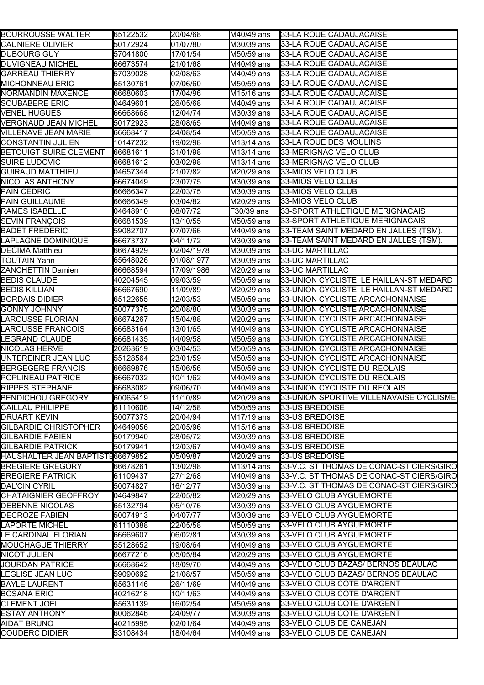| BOURROUSSE WALTER                | 65122532  | 20/04/68   | M40/49 ans              | 33-LA ROUE CADAUJACAISE                  |
|----------------------------------|-----------|------------|-------------------------|------------------------------------------|
| <b>CAUNIERE OLIVIER</b>          | 50172924  | 01/07/80   | M30/39 ans              | 33-LA ROUE CADAUJACAISE                  |
| DUBOURG GUY                      | 57041800  | 17/01/54   | M50/59 ans              | 33-LA ROUE CADAUJACAISE                  |
| DUVIGNEAU MICHEL                 | 66673574  | 21/01/68   | M40/49 ans              | 33-LA ROUE CADAUJACAISE                  |
| <b>GARREAU THIERRY</b>           | 57039028  | 02/08/63   | M40/49 ans              | 33-LA ROUE CADAUJACAISE                  |
| <b>MICHONNEAU ERIC</b>           | 65130761  | 07/06/60   | M50/59 ans              | 33-LA ROUE CADAUJACAISE                  |
| NORMANDIN MAXENCE                | 66680603  | 17/04/96   | M <sub>15</sub> /16 ans | 33-LA ROUE CADAUJACAISE                  |
| SOUBABERE ERIC                   | 04649601  | 26/05/68   | M40/49 ans              | 33-LA ROUE CADAUJACAISE                  |
| <b>VENEL HUGUES</b>              | 66668668  | 12/04/74   | M30/39 ans              | 33-LA ROUE CADAUJACAISE                  |
| VERGNAUD JEAN MICHEL             | 50172923  | 28/08/65   | M40/49 ans              | 33-LA ROUE CADAUJACAISE                  |
| VILLENAVE JEAN MARIE             | 66668417  | 24/08/54   | M50/59 ans              | 33-LA ROUE CADAUJACAISE                  |
| <b>CONSTANTIN JULIEN</b>         | 10147232  | 19/02/98   | M13/14 ans              | 33-LA ROUE DES MOULINS                   |
| <b>BETOUIGT SUIRE CLEMENT</b>    | 66681611  | 31/01/98   | M13/14 ans              | 33-MERIGNAC VELO CLUB                    |
| SUIRE LUDOVIC                    | 66681612  | 03/02/98   | M13/14 ans              | 33-MERIGNAC VELO CLUB                    |
| <b>GUIRAUD MATTHIEU</b>          | 04657344  | 21/07/82   | M20/29 ans              | 33-MIOS VELO CLUB                        |
| NICOLAS ANTHONY                  | 66674049  | 23/07/75   | M30/39 ans              | 33-MIOS VELO CLUB                        |
| PAIN CEDRIC                      | 66666347  | 22/03/75   | M30/39 ans              | 33-MIOS VELO CLUB                        |
| PAIN GUILLAUME                   | 66666349  | 03/04/82   | M20/29 ans              | 33-MIOS VELO CLUB                        |
| RAMES ISABELLE                   | 04648910  | 08/07/72   | F30/39 ans              | 33-SPORT ATHLETIQUE MERIGNACAIS          |
| <b>SEVIN FRANÇOIS</b>            | 66681539  | 13/10/55   | M50/59 ans              | 33-SPORT ATHLETIQUE MERIGNACAIS          |
| <b>BADET FREDERIC</b>            | 59082707  | 07/07/66   | M40/49 ans              | 33-TEAM SAINT MEDARD EN JALLES (TSM).    |
| LAPLAGNE DOMINIQUE               | 66673737  | 04/11/72   | M30/39 ans              | 33-TEAM SAINT MEDARD EN JALLES (TSM).    |
| <b>DECIMA Matthieu</b>           | 66674929  | 02/04/1978 | M30/39 ans              | <b>33-UC MARTILLAC</b>                   |
|                                  |           |            |                         |                                          |
| <b>TOUTAIN Yann</b>              | 65648026  | 01/08/1977 | M30/39 ans              | 33-UC MARTILLAC                          |
| ZANCHETTIN Damien                | 66668594  | 17/09/1986 | M20/29 ans              | 33-UC MARTILLAC                          |
| <b>BEDIS CLAUDE</b>              | 40204545  | 09/03/59   | M50/59 ans              | 33-UNION CYCLISTE LE HAILLAN-ST MEDARD   |
| BEDIS KILLIAN                    | 66667690  | 11/09/89   | M20/29 ans              | 33-UNION CYCLISTE LE HAILLAN-ST MEDARD   |
| BORDAIS DIDIER                   | 65122655  | 12/03/53   | M50/59 ans              | 33-UNION CYCLISTE ARCACHONNAISE          |
| GONNY JOHNNY                     | 50077375  | 20/08/80   | M30/39 ans              | 33-UNION CYCLISTE ARCACHONNAISE          |
| LAROUSSE FLORIAN                 | 66674267  | 15/04/88   | M20/29 ans              | 33-UNION CYCLISTE ARCACHONNAISE          |
| LAROUSSE FRANCOIS                | 66683164  | 13/01/65   | M40/49 ans              | 33-UNION CYCLISTE ARCACHONNAISE          |
| LEGRAND CLAUDE                   | 66681435  | 14/09/58   | M50/59 ans              | 33-UNION CYCLISTE ARCACHONNAISE          |
| NICOLAS HERVE                    | 20263619  | 03/04/53   | M50/59 ans              | 33-UNION CYCLISTE ARCACHONNAISE          |
| UNTEREINER JEAN LUC              | 55128564  | 23/01/59   | M50/59 ans              | 33-UNION CYCLISTE ARCACHONNAISE          |
| BERGEGERE FRANCIS                | 66669876  | 15/06/56   | M50/59 ans              | 33-UNION CYCLISTE DU REOLAIS             |
| POPLINEAU PATRICE                | 66667032  | 10/11/62   | M40/49 ans              | 33-UNION CYCLISTE DU REOLAIS             |
| RIPPES STEPHANE                  | 166683082 | 09/06/70   | M40/49 ans              | 33-UNION CYCLISTE DU REOLAIS             |
| <b>BENDICHOU GREGORY</b>         | 60065419  | 11/10/89   | M20/29 ans              | 133-UNION SPORTIVE VILLENAVAISE CYCLISME |
| CAILLAU PHILIPPE                 | 61110606  | 14/12/58   | M50/59 ans              | 33-US BREDOISE                           |
| <b>DRUART KEVIN</b>              | 50077373  | 20/04/94   | M17/19 ans              | 33-US BREDOISE                           |
| GILBARDIE CHRISTOPHER            | 04649056  | 20/05/96   | M15/16 ans              | 33-US BREDOISE                           |
| <b>GILBARDIE FABIEN</b>          | 50179940  | 28/05/72   | M30/39 ans              | 33-US BREDOISE                           |
| GILBARDIE PATRICK                | 50179941  | 12/03/67   | M40/49 ans              | 33-US BREDOISE                           |
| HAUSHALTER JEAN BAPTISTE66679852 |           | 05/09/87   | M20/29 ans              | 33-US BREDOISE                           |
| <b>BREGIERE GREGORY</b>          | 66678261  | 13/02/98   | M13/14 ans              | 33-V.C. ST THOMAS DE CONAC-ST CIERS/GIRO |
| <b>BREGIERE PATRICK</b>          | 61109437  | 27/12/68   | M40/49 ans              | 33-V.C. ST THOMAS DE CONAC-ST CIERS/GIRO |
| <b>DAL'CIN CYRIL</b>             | 50074827  | 16/12/77   | M30/39 ans              | 33-V.C. ST THOMAS DE CONAC-ST CIERS/GIRO |
| <b>CHATAIGNIER GEOFFROY</b>      | 04649847  | 22/05/82   | M20/29 ans              | 33-VELO CLUB AYGUEMORTE                  |
| <b>DEBENNE NICOLAS</b>           | 65132794  | 05/10/76   | M30/39 ans              | 33-VELO CLUB AYGUEMORTE                  |
| DECROZE FABIEN                   | 50074913  | 04/07/77   | M30/39 ans              | 33-VELO CLUB AYGUEMORTE                  |
| <b>LAPORTE MICHEL</b>            | 61110388  | 22/05/58   | M50/59 ans              | 33-VELO CLUB AYGUEMORTE                  |
| LE CARDINAL FLORIAN              | 66669607  | 06/02/81   | M30/39 ans              | 33-VELO CLUB AYGUEMORTE                  |
| <b>MOUCHAGUE THIERRY</b>         | 55128652  | 19/08/64   | M40/49 ans              | 33-VELO CLUB AYGUEMORTE                  |
| NICOT JULIEN                     | 66677216  | 05/05/84   | M20/29 ans              | 33-VELO CLUB AYGUEMORTE                  |
| <b>JOURDAN PATRICE</b>           | 66668642  | 18/09/70   | M40/49 ans              | 33-VELO CLUB BAZAS/ BERNOS BEAULAC       |
| LEGLISE JEAN LUC                 | 59090692  | 21/08/57   | M50/59 ans              | 33-VELO CLUB BAZAS/ BERNOS BEAULAC       |
| <b>BAYLE LAURENT</b>             | 65631146  | 26/11/69   | M40/49 ans              | 33-VELO CLUB COTE D'ARGENT               |
| <b>BOSANA ERIC</b>               | 40216218  | 10/11/63   | M40/49 ans              | 33-VELO CLUB COTE D'ARGENT               |
| <b>CLEMENT JOEL</b>              | 65631139  | 16/02/54   | M50/59 ans              | 33-VELO CLUB COTE D'ARGENT               |
| <b>ESTAY ANTHONY</b>             | 60062846  | 24/09/77   | M30/39 ans              | 33-VELO CLUB COTE D'ARGENT               |
| AIDAT BRUNO                      | 40215995  | 02/01/64   | M40/49 ans              | 33-VELO CLUB DE CANEJAN                  |
| <b>COUDERC DIDIER</b>            | 53108434  | 18/04/64   | M40/49 ans              | 33-VELO CLUB DE CANEJAN                  |
|                                  |           |            |                         |                                          |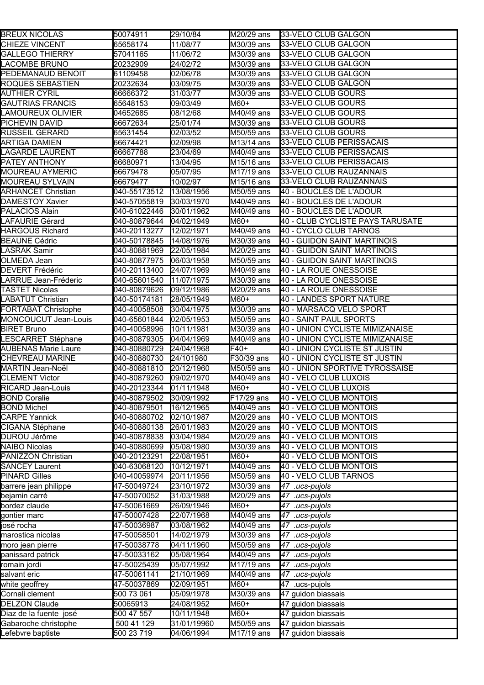| <b>BREUX NICOLAS</b>       | 50074911     | 29/10/84    | M20/29 ans | 33-VELO CLUB GALGON              |
|----------------------------|--------------|-------------|------------|----------------------------------|
| CHIEZE VINCENT             | 65658174     | 11/08/77    | M30/39 ans | 33-VELO CLUB GALGON              |
| <b>GALLEGO THIERRY</b>     | 57041165     | 11/06/72    | M30/39 ans | 33-VELO CLUB GALGON              |
| LACOMBE BRUNO              | 20232909     | 24/02/72    | M30/39 ans | 33-VELO CLUB GALGON              |
| PEDEMANAUD BENOIT          | 61109458     | 02/06/78    | M30/39 ans | 33-VELO CLUB GALGON              |
| ROQUES SEBASTIEN           | 20232634     | 03/09/75    | M30/39 ans | 33-VELO CLUB GALGON              |
| AUTHIER CYRIL              | 66666372     | 31/03/77    | M30/39 ans | 33-VELO CLUB GOURS               |
| <b>GAUTRIAS FRANCIS</b>    | 65648153     | 09/03/49    | M60+       | 33-VELO CLUB GOURS               |
| LAMOUREUX OLIVIER          | 04652685     | 08/12/68    | M40/49 ans | 33-VELO CLUB GOURS               |
| PICHEVIN DAVID             | 66672634     | 25/01/74    | M30/39 ans | 33-VELO CLUB GOURS               |
| RUSSEIL GERARD             | 65631454     | 02/03/52    | M50/59 ans | 33-VELO CLUB GOURS               |
| ARTIGA DAMIEN              | 66674421     | 02/09/98    | M13/14 ans | 33-VELO CLUB PERISSACAIS         |
| LAGARDE LAURENT            | 66667788     | 23/04/69    | M40/49 ans | 33-VELO CLUB PERISSACAIS         |
| PATEY ANTHONY              | 66680971     | 13/04/95    | M15/16 ans | 33-VELO CLUB PERISSACAIS         |
| MOUREAU AYMERIC            | 66679478     | 05/07/95    | M17/19 ans | 33-VELO CLUB RAUZANNAIS          |
| MOUREAU SYLVAIN            | 66679477     | 10/02/97    | M15/16 ans | 33-VELO CLUB RAUZANNAIS          |
| ARHANCET Christian         | 040-55173512 | 13/08/1956  | M50/59 ans | 40 - BOUCLES DE L'ADOUR          |
| <b>DAMESTOY Xavier</b>     | 040-57055819 | 30/03/1970  | M40/49 ans | 40 - BOUCLES DE L'ADOUR          |
| PALACIOS Alain             | 040-61022446 | 30/01/1962  | M40/49 ans | 40 - BOUCLES DE L'ADOUR          |
| LAFAURIE Gérard            | 040-80879644 | 04/02/1949  | M60+       | 40 - CLUB CYCLISTE PAYS TARUSATE |
| <b>HARGOUS Richard</b>     | 040-20113277 | 12/02/1971  | M40/49 ans | 40 - CYCLO CLUB TARNOS           |
| <b>BEAUNE Cédric</b>       | 040-50178845 | 14/08/1976  | M30/39 ans | 40 - GUIDON SAINT MARTINOIS      |
| LASRAK Samir               | 040-80881969 | 22/05/1984  | M20/29 ans | 40 - GUIDON SAINT MARTINOIS      |
| OLMEDA Jean                | 040-80877975 | 06/03/1958  | M50/59 ans | 40 - GUIDON SAINT MARTINOIS      |
| <b>DEVERT Frédéric</b>     | 040-20113400 | 24/07/1969  | M40/49 ans | 40 - LA ROUE ONESSOISE           |
| LARRUE Jean-Fréderic       | 040-65601540 | 11/07/1975  | M30/39 ans | 40 - LA ROUE ONESSOISE           |
| <b>TASTET Nicolas</b>      | 040-80879626 | 09/12/1986  | M20/29 ans | 40 - LA ROUE ONESSOISE           |
| LABATUT Christian          | 040-50174181 | 28/05/1949  | M60+       | 40 - LANDES SPORT NATURE         |
| FORTABAT Christophe        | 040-40058508 | 30/04/1975  | M30/39 ans | 40 - MARSACQ VELO SPORT          |
| MONCOUCUT Jean-Louis       | 040-65601844 | 02/05/1953  | M50/59 ans | 40 - SAINT PAUL SPORTS           |
| <b>BIRET Bruno</b>         | 040-40058996 | 10/11/1981  | M30/39 ans | 40 - UNION CYCLISTE MIMIZANAISE  |
| LESCARRET Stéphane         | 040-80879305 | 04/04/1969  | M40/49 ans | 40 - UNION CYCLISTE MIMIZANAISE  |
| <b>AUBENAS Marie Laure</b> | 040-80880729 | 24/04/1968  | $F40+$     | 40 - UNION CYCLISTE ST JUSTIN    |
| CHEVREAU MARINE            | 040-80880730 | 24/101980   | F30/39 ans | 40 - UNION CYCLISTE ST JUSTIN    |
| MARTIN Jean-Noël           | 040-80881810 | 20/12/1960  | M50/59 ans | 40 - UNION SPORTIVE TYROSSAISE   |
| <b>CLEMENT Victor</b>      | 040-80879260 | 09/02/1970  | M40/49 ans | 40 - VELO CLUB LUXOIS            |
| RICARD Jean-Louis          | 040-20123344 | 01/11/1948  | M60+       | 40 - VELO CLUB LUXOIS            |
| <b>BOND Coralie</b>        | 040-80879502 | 30/09/1992  | F17/29 ans | 40 - VELO CLUB MONTOIS           |
| <b>BOND Michel</b>         | 040-80879501 | 16/12/1965  | M40/49 ans | 40 - VELO CLUB MONTOIS           |
| <b>CARPE Yannick</b>       | 040-80880702 | 02/10/1987  | M20/29 ans | <b>40 - VELO CLUB MONTOIS</b>    |
| CIGANA Stéphane            | 040-80880138 | 26/01/1983  | M20/29 ans | 40 - VELO CLUB MONTOIS           |
| DUROU Jérôme               | 040-80878838 | 03/04/1984  | M20/29 ans | 40 - VELO CLUB MONTOIS           |
| <b>NAIBO Nicolas</b>       | 040-80880699 | 05/08/1980  | M30/39 ans | 40 - VELO CLUB MONTOIS           |
| PANIZZON Christian         | 040-20123291 | 22/08/1951  | M60+       | 40 - VELO CLUB MONTOIS           |
| <b>SANCEY Laurent</b>      | 040-63068120 | 10/12/1971  | M40/49 ans | 40 - VELO CLUB MONTOIS           |
| <b>PINARD Gilles</b>       | 040-40059974 | 20/11/1956  | M50/59 ans | 40 - VELO CLUB TARNOS            |
| barrere jean philippe      | 47-50049724  | 23/10/1972  | M30/39 ans | 47 .ucs-pujols                   |
| bejamin carré              | 47-50070052  | 31/03/1988  | M20/29 ans | 47 .ucs-pujols                   |
| bordez claude              | 47-50061669  | 26/09/1946  | M60+       | 47 .ucs-pujols                   |
| gontier marc               | 47-50007428  | 22/07/1968  | M40/49 ans | 47 .ucs-pujols                   |
| josé rocha                 | 47-50036987  | 03/08/1962  | M40/49 ans | 47 .ucs-pujols                   |
| marostica nicolas          | 47-50058501  | 14/02/1979  | M30/39 ans | 47 .ucs-pujols                   |
| moro jean pierre           | 47-50038778  | 04/11/1960  | M50/59 ans | 47 .ucs-pujols                   |
| panissard patrick          | 47-50033162  | 05/08/1964  | M40/49 ans | 47 .ucs-pujols                   |
| romain jordi               | 47-50025439  | 05/07/1992  | M17/19 ans | $\overline{47}$ .ucs-pujols      |
| salvant eric               | 47-50061141  | 21/10/1969  | M40/49 ans | $\overline{47}$ .ucs-pujols      |
| white geoffrey             | 47-50037869  | 02/09/1951  | M60+       | 47 .ucs-pujols                   |
| Cornali clement            | 500 73 061   | 05/09/1978  | M30/39 ans | 47 guidon biassais               |
| <b>DELZON Claude</b>       | 50065913     | 24/08/1952  | M60+       | 47 guidon biassais               |
| Diaz de la fuente josé     | 500 47 557   | 10/11/1948  | M60+       | 47 guidon biassais               |
| Gabaroche christophe       | 500 41 129   | 31/01/19960 | M50/59 ans | 47 guidon biassais               |
| Lefebvre baptiste          | 500 23 719   | 04/06/1994  | M17/19 ans | 47 guidon biassais               |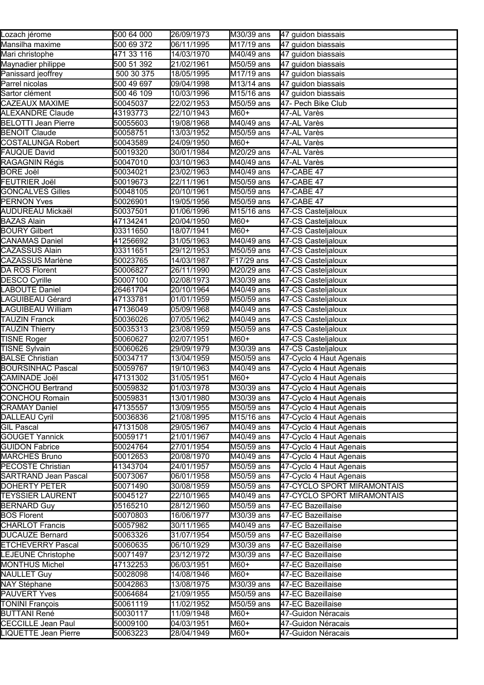| Lozach jérome               | 500 64 000 | 26/09/1973 | M30/39 ans                     | 47 guidon biassais                     |
|-----------------------------|------------|------------|--------------------------------|----------------------------------------|
| Mansilha maxime             | 500 69 372 | 06/11/1995 | M17/19 ans                     | 47 guidon biassais                     |
| Mari christophe             | 471 33 116 | 14/03/1970 | M40/49 ans                     | 47 guidon biassais                     |
| Maynadier philippe          | 500 51 392 | 21/02/1961 | M50/59 ans                     | 47 guidon biassais                     |
| Panissard jeoffrey          | 500 30 375 | 18/05/1995 | M17/19 ans                     | 47 guidon biassais                     |
| Parrel nicolas              | 500 49 697 | 09/04/1998 | M13/14 ans                     | 47 guidon biassais                     |
| Sartor clément              | 500 46 109 | 10/03/1996 | M15/16 ans                     | 47 guidon biassais                     |
| CAZEAUX MAXIME              | 50045037   | 22/02/1953 | M50/59 ans                     | 47- Pech Bike Club                     |
| ALEXANDRE Claude            | 43193773   | 22/10/1943 | M60+                           | 47-AL Varès                            |
| BELOTTI Jean Pierre         | 50055603   | 19/08/1968 | M40/49 ans                     | 47-AL Varès                            |
| <b>BENOIT Claude</b>        | 50058751   | 13/03/1952 | M50/59 ans                     | 47-AL Varès                            |
| COSTALUNGA Robert           | 50043589   | 24/09/1950 | $M60+$                         | 47-AL Varès                            |
| FAUQUE David                | 50019320   | 30/01/1984 | M20/29 ans                     | 47-AL Varès                            |
| RAGAGNIN Régis              | 50047010   | 03/10/1963 | M40/49 ans                     | 47-AL Varès                            |
| BORE Joël                   | 50034021   | 23/02/1963 | M40/49 ans                     | 47-CABE 47                             |
| FEUTRIER Joël               | 50019673   | 22/11/1961 | M50/59 ans                     | 47-CABE 47                             |
| GONCALVES Gilles            | 50048105   | 20/10/1961 | M50/59 ans                     | 47-CABE 47                             |
| <b>PERNON Yves</b>          | 50026901   | 19/05/1956 | M50/59 ans                     | 47-CABE 47                             |
| AUDUREAU Mickaël            | 50037501   | 01/06/1996 | $\overline{M15}$ /16 ans       | 47-CS Casteljaloux                     |
| <b>BAZAS Alain</b>          | 47134241   | 20/04/1950 | M60+                           | 47-CS Casteljaloux                     |
| <b>BOURY Gilbert</b>        | 03311650   | 18/07/1941 | M60+                           | 47-CS Casteljaloux                     |
| <b>CANAMAS Daniel</b>       | 41256692   | 31/05/1963 | M40/49 ans                     | 47-CS Casteljaloux                     |
| <b>CAZASSUS Alain</b>       | 03311651   | 29/12/1953 | M50/59 ans                     | 47-CS Casteljaloux                     |
| <b>CAZASSUS Marlène</b>     | 50023765   | 14/03/1987 | F17/29 ans                     | 47-CS Casteljaloux                     |
| DA ROS Florent              | 50006827   | 26/11/1990 | M20/29 ans                     | 47-CS Casteljaloux                     |
| <b>DESCO Cyrille</b>        | 50007100   | 02/08/1973 | M30/39 ans                     | 47-CS Casteljaloux                     |
| LABOUTE Daniel              | 26461704   | 20/10/1964 | M40/49 ans                     | 47-CS Casteljaloux                     |
| LAGUIBEAU Gérard            | 47133781   | 01/01/1959 | M50/59 ans                     | 47-CS Casteljaloux                     |
| LAGUIBEAU William           | 47136049   | 05/09/1968 | M40/49 ans                     | 47-CS Casteljaloux                     |
| <b>TAUZIN Franck</b>        | 50036026   | 07/05/1962 | M40/49 ans                     | 47-CS Casteljaloux                     |
| <b>TAUZIN Thierry</b>       | 50035313   | 23/08/1959 | M50/59 ans                     | 47-CS Casteljaloux                     |
| <b>TISNE Roger</b>          | 50060627   | 02/07/1951 | M60+                           | 47-CS Casteljaloux                     |
| <b>TISNE Sylvain</b>        | 50060626   | 29/09/1979 | M30/39 ans                     | 47-CS Casteljaloux                     |
| <b>BALSE Christian</b>      | 50034717   | 13/04/1959 | M50/59 ans                     | 47-Cyclo 4 Haut Agenais                |
| <b>BOURSINHAC Pascal</b>    | 50059767   | 19/10/1963 | $\overline{\text{M40}}/49$ ans | 47-Cyclo 4 Haut Agenais                |
| CAMINADE Joël               | 47131302   | 31/05/1951 | M60+                           | 47-Cyclo 4 Haut Agenais                |
| CONCHOU Bertrand            | 50059832   | 01/03/1978 | M30/39 ans                     | 47-Cyclo 4 Haut Agenais                |
| CONCHOU Romain              | 50059831   | 13/01/1980 | M30/39 ans                     | 47-Cyclo 4 Haut Agenais                |
| <b>CRAMAY Daniel</b>        | 47135557   | 13/09/1955 | M50/59 ans                     | 47-Cyclo 4 Haut Agenais                |
| DALLEAU Cyril               | 50036836   | 21/08/1995 | M15/16 ans                     | 47-Cyclo 4 Haut Agenais                |
| <b>GIL Pascal</b>           | 47131508   | 29/05/1967 | M40/49 ans                     | 47-Cyclo 4 Haut Agenais                |
| <b>GOUGET Yannick</b>       | 50059171   | 21/01/1967 | M40/49 ans                     | 47-Cyclo 4 Haut Agenais                |
| <b>GUIDON Fabrice</b>       | 50024764   | 27/01/1954 | M50/59 ans                     | 47-Cyclo 4 Haut Agenais                |
| <b>MARCHES Bruno</b>        | 50012653   | 20/08/1970 | M40/49 ans                     | 47-Cyclo 4 Haut Agenais                |
| <b>PECOSTE Christian</b>    | 41343704   | 24/01/1957 | M50/59 ans                     | 47-Cyclo 4 Haut Agenais                |
| <b>SARTRAND Jean Pascal</b> | 50073067   | 06/01/1958 | M50/59 ans                     | 47-Cyclo 4 Haut Agenais                |
| <b>DOHERTY PETER</b>        | 50071490   | 30/08/1959 | M50/59 ans                     | 47-CYCLO SPORT MIRAMONTAIS             |
| <b>TEYSSIER LAURENT</b>     | 50045127   | 22/10/1965 | $\overline{\text{M40}}/49$ ans | 47-CYCLO SPORT MIRAMONTAIS             |
| <b>BERNARD Guy</b>          | 05165210   | 28/12/1960 | M50/59 ans                     | 47-EC Bazeillaise                      |
| <b>BOS Florent</b>          | 50070803   | 16/06/1977 | M30/39 ans                     | 47-EC Bazeillaise                      |
| <b>CHARLOT Francis</b>      | 50057982   | 30/11/1965 | M40/49 ans                     | 47-EC Bazeillaise                      |
| <b>DUCAUZE Bernard</b>      | 50063326   | 31/07/1954 | M50/59 ans                     | 47-EC Bazeillaise                      |
| <b>ETCHEVERRY Pascal</b>    | 50060635   | 06/10/1929 | M30/39 ans                     | 47-EC Bazeillaise                      |
| LEJEUNE Christophe          | 50071497   | 23/12/1972 | M30/39 ans                     | 47-EC Bazeillaise                      |
| <b>MONTHUS Michel</b>       | 47132253   | 06/03/1951 | M60+                           | 47-EC Bazeillaise                      |
| NAULLET Guy                 | 50028098   | 14/08/1946 | M60+                           | 47-EC Bazeillaise                      |
|                             |            |            |                                |                                        |
| NAY Stéphane                | 50042863   | 13/08/1975 | M30/39 ans                     | 47-EC Bazeillaise<br>47-EC Bazeillaise |
| PAUVERT Yves                | 50064684   | 21/09/1955 | M50/59 ans                     |                                        |
| <b>TONINI François</b>      | 50061119   | 11/02/1952 | M50/59 ans                     | 47-EC Bazeillaise                      |
| <b>BUTTANI René</b>         | 50030117   | 11/09/1948 | M60+                           | 47-Guidon Néracais                     |
| <b>CECCILLE</b> Jean Paul   | 50009100   | 04/03/1951 | M60+                           | 47-Guidon Néracais                     |
| LIQUETTE Jean Pierre        | 50063223   | 28/04/1949 | M60+                           | 47-Guidon Néracais                     |